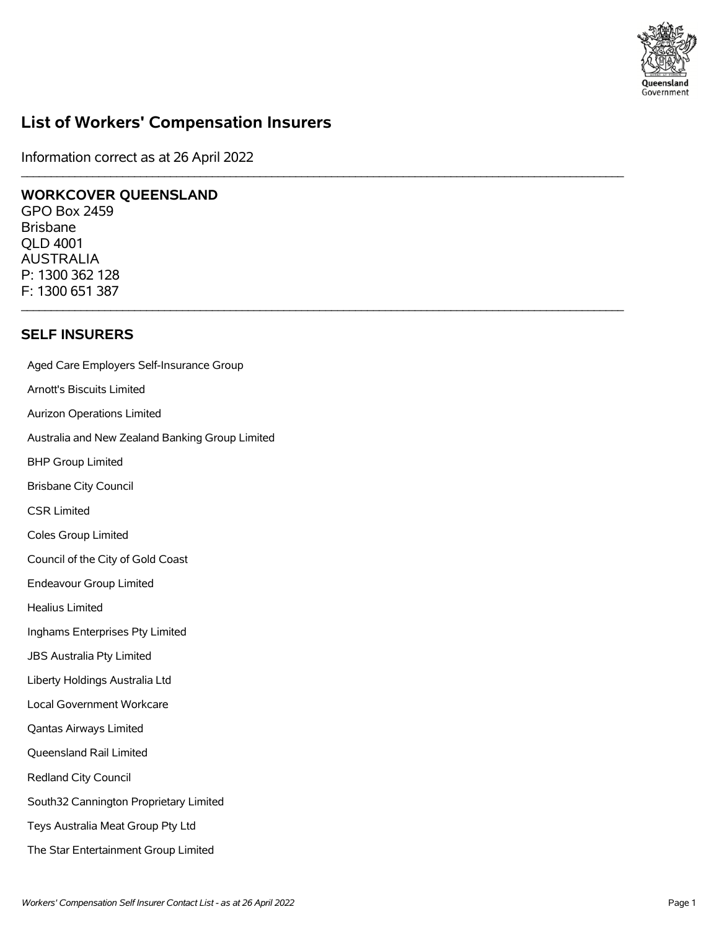

# **List of Workers' Compensation Insurers**

\_\_\_\_\_\_\_\_\_\_\_\_\_\_\_\_\_\_\_\_\_\_\_\_\_\_\_\_\_\_\_\_\_\_\_\_\_\_\_\_\_\_\_\_\_\_\_\_\_\_\_\_\_\_\_\_\_\_\_\_\_\_\_\_\_\_\_\_\_\_\_\_\_\_\_\_\_\_\_\_\_\_\_\_\_\_\_\_\_\_\_\_\_\_\_\_\_\_\_\_\_

 $\mathcal{L}_\mathcal{L} = \{ \mathcal{L}_\mathcal{L} = \{ \mathcal{L}_\mathcal{L} = \{ \mathcal{L}_\mathcal{L} = \{ \mathcal{L}_\mathcal{L} = \{ \mathcal{L}_\mathcal{L} = \{ \mathcal{L}_\mathcal{L} = \{ \mathcal{L}_\mathcal{L} = \{ \mathcal{L}_\mathcal{L} = \{ \mathcal{L}_\mathcal{L} = \{ \mathcal{L}_\mathcal{L} = \{ \mathcal{L}_\mathcal{L} = \{ \mathcal{L}_\mathcal{L} = \{ \mathcal{L}_\mathcal{L} = \{ \mathcal{L}_\mathcal{$ 

Information correct as at 26 April 2022

### **WORKCOVER QUEENSLAND**

GPO Box 2459 Brisbane QLD 4001 AUSTRALIA P: 1300 362 128 F: 1300 651 387

### **SELF INSURERS**

Aged Care Employers Self-Insurance Group Arnott's Biscuits Limited Aurizon Operations Limited Australia and New Zealand Banking Group Limited BHP Group Limited Brisbane City Council CSR Limited Coles Group Limited Council of the City of Gold Coast Endeavour Group Limited Healius Limited Inghams Enterprises Pty Limited JBS Australia Pty Limited Liberty Holdings Australia Ltd Local Government Workcare Qantas Airways Limited Queensland Rail Limited Redland City Council South32 Cannington Proprietary Limited Teys Australia Meat Group Pty Ltd The Star Entertainment Group Limited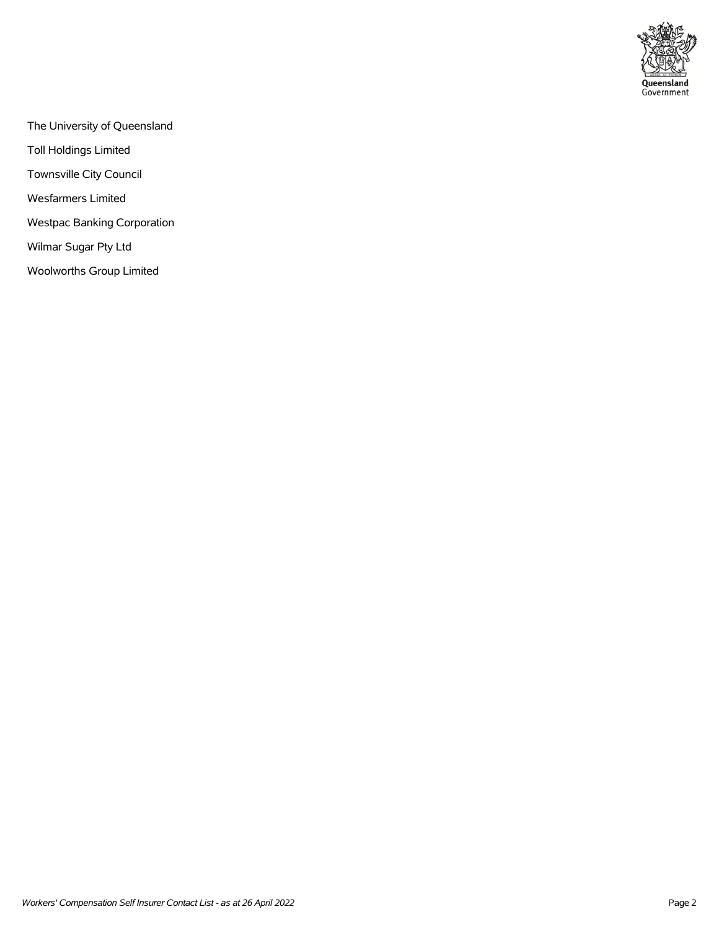

- The University of Queensland
- Toll Holdings Limited
- Townsville City Council
- Wesfarmers Limited
- Westpac Banking Corporation
- Wilmar Sugar Pty Ltd
- Woolworths Group Limited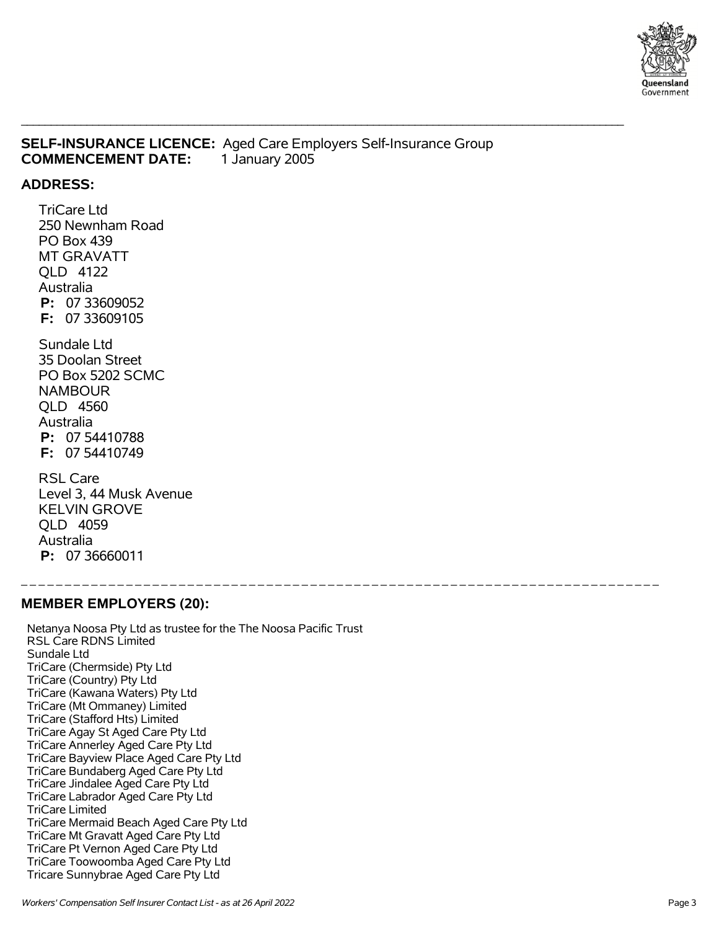

### **SELF-INSURANCE LICENCE:** Aged Care Employers Self-Insurance Group **COMMENCEMENT DATE:** 1 January 2005

\_\_\_\_\_\_\_\_\_\_\_\_\_\_\_\_\_\_\_\_\_\_\_\_\_\_\_\_\_\_\_\_\_\_\_\_\_\_\_\_\_\_\_\_\_\_\_\_\_\_\_\_\_\_\_\_\_\_\_\_\_\_\_\_\_\_\_\_\_\_\_\_\_\_\_\_\_\_\_\_\_\_\_\_\_\_\_\_\_\_\_\_\_\_\_\_\_\_\_\_\_

\_ \_ \_ \_ \_ \_ \_ \_ \_ \_ \_ \_ \_ \_ \_ \_ \_ \_ \_ \_ \_ \_ \_ \_ \_ \_ \_ \_ \_ \_ \_ \_ \_ \_ \_ \_ \_ \_ \_ \_ \_ \_ \_ \_ \_ \_ \_ \_ \_ \_ \_ \_ \_ \_ \_ \_ \_ \_ \_ \_ \_ \_ \_ \_ \_ \_ \_ \_ \_ \_ \_ \_ \_

### **ADDRESS:**

 TriCare Ltd 250 Newnham Road PO Box 439 MT GRAVATT QLD 4122 Australia  **P:** 07 33609052  **F:** 07 33609105

 Sundale Ltd 35 Doolan Street PO Box 5202 SCMC NAMBOUR QLD 4560 Australia  **P:** 07 54410788  **F:** 07 54410749

 RSL Care Level 3, 44 Musk Avenue KELVIN GROVE QLD 4059 Australia  **P:** 07 36660011

### **MEMBER EMPLOYERS (20):**

 Netanya Noosa Pty Ltd as trustee for the The Noosa Pacific Trust RSL Care RDNS Limited Sundale Ltd TriCare (Chermside) Pty Ltd TriCare (Country) Pty Ltd TriCare (Kawana Waters) Pty Ltd TriCare (Mt Ommaney) Limited TriCare (Stafford Hts) Limited TriCare Agay St Aged Care Pty Ltd TriCare Annerley Aged Care Pty Ltd TriCare Bayview Place Aged Care Pty Ltd TriCare Bundaberg Aged Care Pty Ltd TriCare Jindalee Aged Care Pty Ltd TriCare Labrador Aged Care Pty Ltd TriCare Limited TriCare Mermaid Beach Aged Care Pty Ltd TriCare Mt Gravatt Aged Care Pty Ltd TriCare Pt Vernon Aged Care Pty Ltd TriCare Toowoomba Aged Care Pty Ltd Tricare Sunnybrae Aged Care Pty Ltd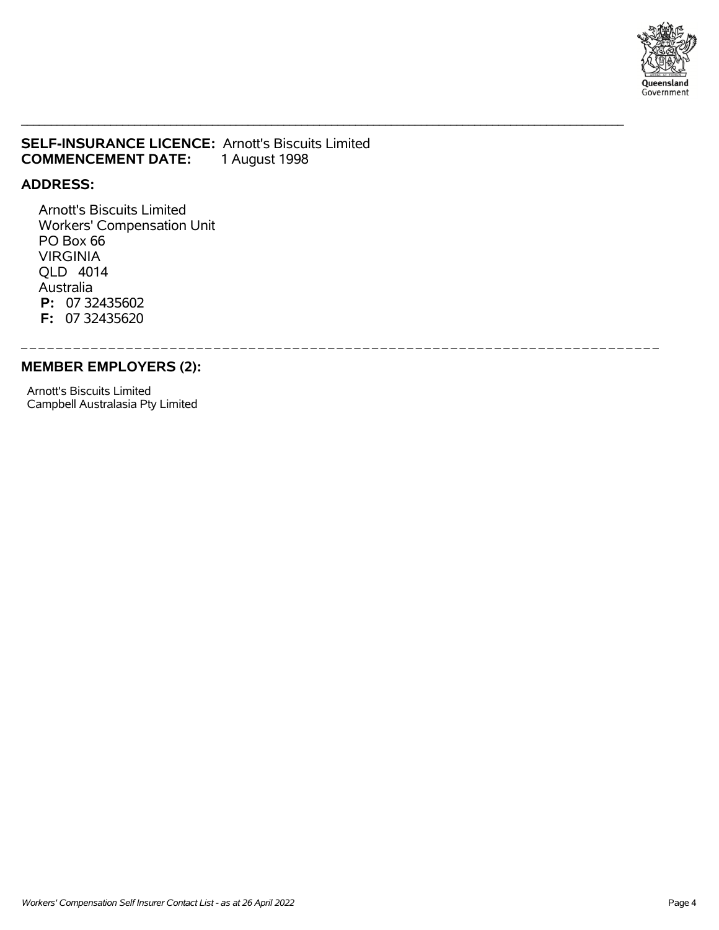

### **SELF-INSURANCE LICENCE:** Arnott's Biscuits Limited **COMMENCEMENT DATE:** 1 August 1998

\_\_\_\_\_\_\_\_\_\_\_\_\_\_\_\_\_\_\_\_\_\_\_\_\_\_\_\_\_\_\_\_\_\_\_\_\_\_\_\_\_\_\_\_\_\_\_\_\_\_\_\_\_\_\_\_\_\_\_\_\_\_\_\_\_\_\_\_\_\_\_\_\_\_\_\_\_\_\_\_\_\_\_\_\_\_\_\_\_\_\_\_\_\_\_\_\_\_\_\_\_

\_ \_ \_ \_ \_ \_ \_ \_ \_ \_ \_ \_ \_ \_ \_ \_ \_ \_ \_ \_ \_ \_ \_ \_ \_ \_ \_ \_ \_ \_ \_ \_ \_ \_ \_ \_ \_ \_ \_ \_ \_ \_ \_ \_ \_ \_ \_ \_ \_ \_ \_ \_ \_ \_ \_ \_ \_ \_ \_ \_ \_ \_ \_ \_ \_ \_ \_ \_ \_ \_ \_ \_ \_

### **ADDRESS:**

 Arnott's Biscuits Limited Workers' Compensation Unit PO Box 66 VIRGINIA QLD 4014 Australia  **P:** 07 32435602  **F:** 07 32435620

#### **MEMBER EMPLOYERS (2):**

 Arnott's Biscuits Limited Campbell Australasia Pty Limited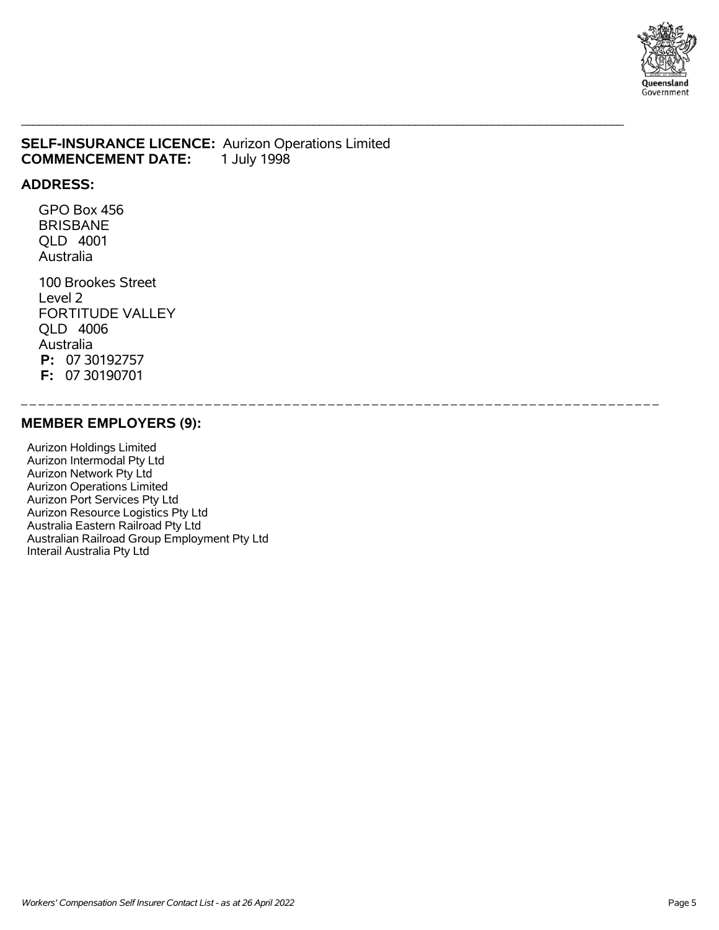

### **SELF-INSURANCE LICENCE:** Aurizon Operations Limited **COMMENCEMENT DATE:** 1 July 1998

\_\_\_\_\_\_\_\_\_\_\_\_\_\_\_\_\_\_\_\_\_\_\_\_\_\_\_\_\_\_\_\_\_\_\_\_\_\_\_\_\_\_\_\_\_\_\_\_\_\_\_\_\_\_\_\_\_\_\_\_\_\_\_\_\_\_\_\_\_\_\_\_\_\_\_\_\_\_\_\_\_\_\_\_\_\_\_\_\_\_\_\_\_\_\_\_\_\_\_\_\_

\_ \_ \_ \_ \_ \_ \_ \_ \_ \_ \_ \_ \_ \_ \_ \_ \_ \_ \_ \_ \_ \_ \_ \_ \_ \_ \_ \_ \_ \_ \_ \_ \_ \_ \_ \_ \_ \_ \_ \_ \_ \_ \_ \_ \_ \_ \_ \_ \_ \_ \_ \_ \_ \_ \_ \_ \_ \_ \_ \_ \_ \_ \_ \_ \_ \_ \_ \_ \_ \_ \_ \_ \_

#### **ADDRESS:**

 GPO Box 456 BRISBANE QLD 4001 Australia

 100 Brookes Street Level 2 FORTITUDE VALLEY QLD 4006 Australia  **P:** 07 30192757  **F:** 07 30190701

### **MEMBER EMPLOYERS (9):**

 Aurizon Holdings Limited Aurizon Intermodal Pty Ltd Aurizon Network Pty Ltd Aurizon Operations Limited Aurizon Port Services Pty Ltd Aurizon Resource Logistics Pty Ltd Australia Eastern Railroad Pty Ltd Australian Railroad Group Employment Pty Ltd Interail Australia Pty Ltd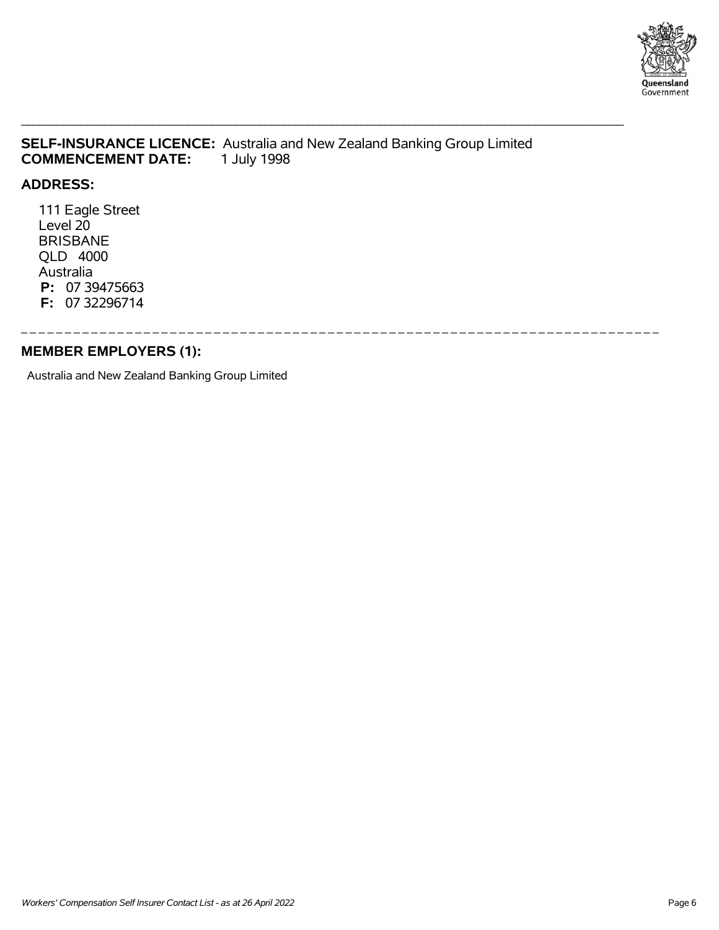

## **SELF-INSURANCE LICENCE:** Australia and New Zealand Banking Group Limited **COMMENCEMENT DATE:**

\_\_\_\_\_\_\_\_\_\_\_\_\_\_\_\_\_\_\_\_\_\_\_\_\_\_\_\_\_\_\_\_\_\_\_\_\_\_\_\_\_\_\_\_\_\_\_\_\_\_\_\_\_\_\_\_\_\_\_\_\_\_\_\_\_\_\_\_\_\_\_\_\_\_\_\_\_\_\_\_\_\_\_\_\_\_\_\_\_\_\_\_\_\_\_\_\_\_\_\_\_

#### **ADDRESS:**

 111 Eagle Street Level 20 BRISBANE QLD 4000 Australia  **P:** 07 39475663  **F:** 07 32296714

\_ \_ \_ \_ \_ \_ \_ \_ \_ \_ \_ \_ \_ \_ \_ \_ \_ \_ \_ \_ \_ \_ \_ \_ \_ \_ \_ \_ \_ \_ \_ \_ \_ \_ \_ \_ \_ \_ \_ \_ \_ \_ \_ \_ \_ \_ \_ \_ \_ \_ \_ \_ \_ \_ \_ \_ \_ \_ \_ \_ \_ \_ \_ \_ \_ \_ \_ \_ \_ \_ \_ \_ \_ **MEMBER EMPLOYERS (1):**

Australia and New Zealand Banking Group Limited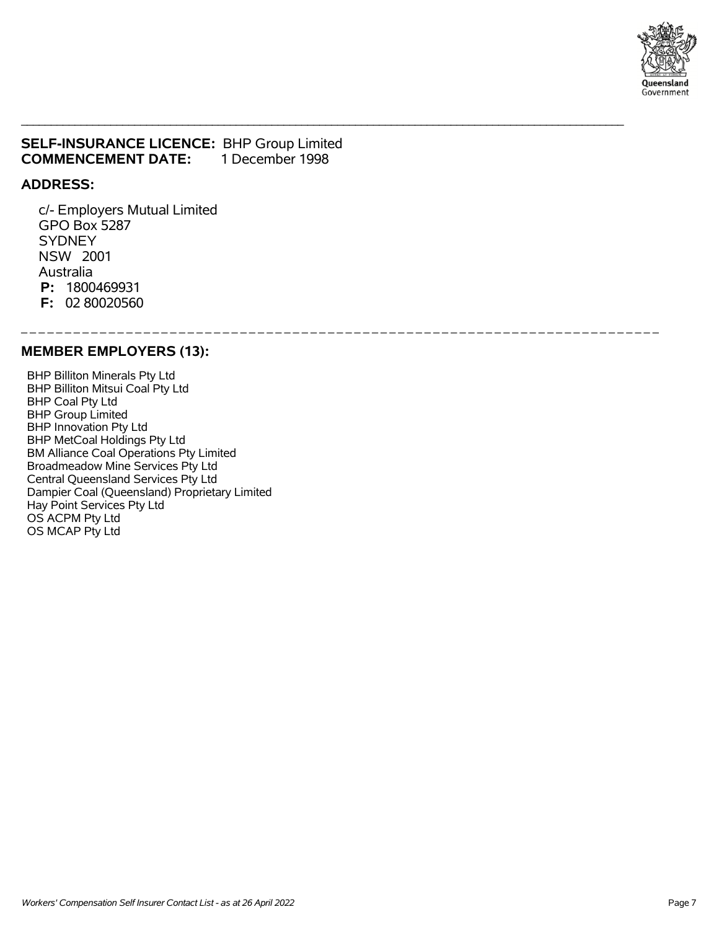

### **SELF-INSURANCE LICENCE:** BHP Group Limited **COMMENCEMENT DATE:** 1 December 1998

\_\_\_\_\_\_\_\_\_\_\_\_\_\_\_\_\_\_\_\_\_\_\_\_\_\_\_\_\_\_\_\_\_\_\_\_\_\_\_\_\_\_\_\_\_\_\_\_\_\_\_\_\_\_\_\_\_\_\_\_\_\_\_\_\_\_\_\_\_\_\_\_\_\_\_\_\_\_\_\_\_\_\_\_\_\_\_\_\_\_\_\_\_\_\_\_\_\_\_\_\_

\_ \_ \_ \_ \_ \_ \_ \_ \_ \_ \_ \_ \_ \_ \_ \_ \_ \_ \_ \_ \_ \_ \_ \_ \_ \_ \_ \_ \_ \_ \_ \_ \_ \_ \_ \_ \_ \_ \_ \_ \_ \_ \_ \_ \_ \_ \_ \_ \_ \_ \_ \_ \_ \_ \_ \_ \_ \_ \_ \_ \_ \_ \_ \_ \_ \_ \_ \_ \_ \_ \_ \_ \_

#### **ADDRESS:**

 c/- Employers Mutual Limited GPO Box 5287 **SYDNEY**  NSW 2001 Australia  **P:** 1800469931  **F:** 02 80020560

### **MEMBER EMPLOYERS (13):**

 BHP Billiton Minerals Pty Ltd BHP Billiton Mitsui Coal Pty Ltd BHP Coal Pty Ltd BHP Group Limited BHP Innovation Pty Ltd BHP MetCoal Holdings Pty Ltd BM Alliance Coal Operations Pty Limited Broadmeadow Mine Services Pty Ltd Central Queensland Services Pty Ltd Dampier Coal (Queensland) Proprietary Limited Hay Point Services Pty Ltd OS ACPM Pty Ltd OS MCAP Pty Ltd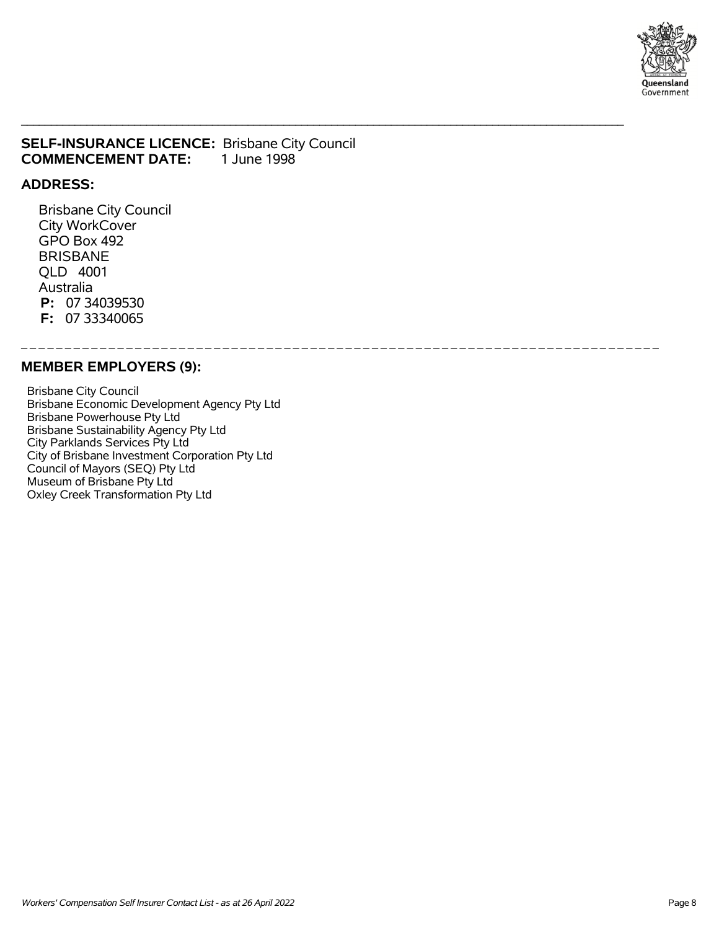

### **SELF-INSURANCE LICENCE:** Brisbane City Council **COMMENCEMENT DATE:** 1 June 1998

\_\_\_\_\_\_\_\_\_\_\_\_\_\_\_\_\_\_\_\_\_\_\_\_\_\_\_\_\_\_\_\_\_\_\_\_\_\_\_\_\_\_\_\_\_\_\_\_\_\_\_\_\_\_\_\_\_\_\_\_\_\_\_\_\_\_\_\_\_\_\_\_\_\_\_\_\_\_\_\_\_\_\_\_\_\_\_\_\_\_\_\_\_\_\_\_\_\_\_\_\_

\_ \_ \_ \_ \_ \_ \_ \_ \_ \_ \_ \_ \_ \_ \_ \_ \_ \_ \_ \_ \_ \_ \_ \_ \_ \_ \_ \_ \_ \_ \_ \_ \_ \_ \_ \_ \_ \_ \_ \_ \_ \_ \_ \_ \_ \_ \_ \_ \_ \_ \_ \_ \_ \_ \_ \_ \_ \_ \_ \_ \_ \_ \_ \_ \_ \_ \_ \_ \_ \_ \_ \_ \_

#### **ADDRESS:**

 Brisbane City Council City WorkCover GPO Box 492 BRISBANE QLD 4001 Australia  **P:** 07 34039530  **F:** 07 33340065

#### **MEMBER EMPLOYERS (9):**

 Brisbane City Council Brisbane Economic Development Agency Pty Ltd Brisbane Powerhouse Pty Ltd Brisbane Sustainability Agency Pty Ltd City Parklands Services Pty Ltd City of Brisbane Investment Corporation Pty Ltd Council of Mayors (SEQ) Pty Ltd Museum of Brisbane Pty Ltd Oxley Creek Transformation Pty Ltd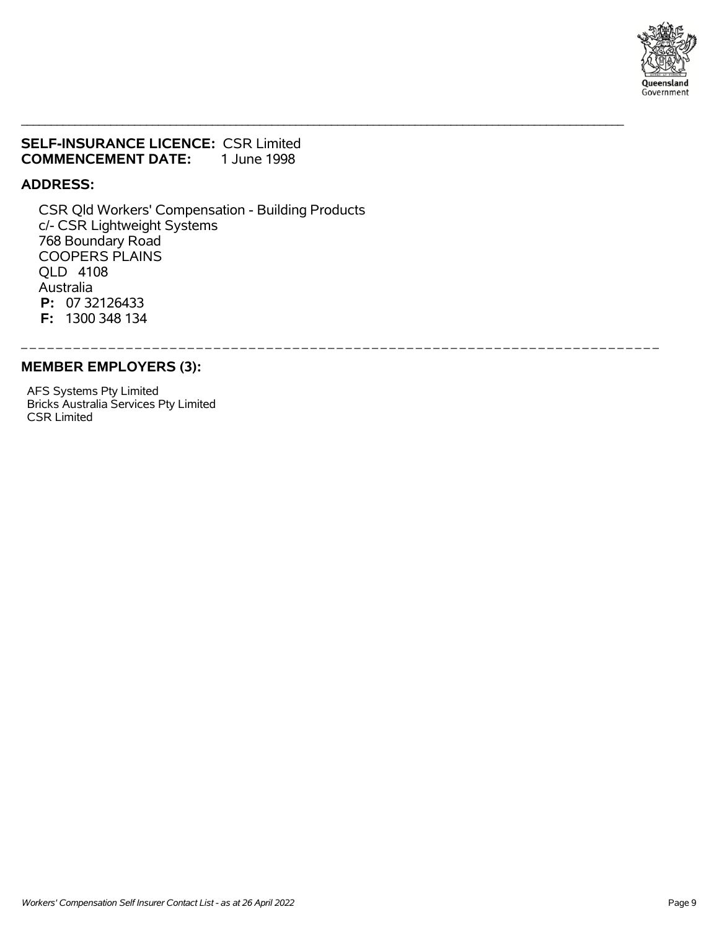

### **SELF-INSURANCE LICENCE:** CSR Limited **COMMENCEMENT DATE:** 1 June 1998

### **ADDRESS:**

 CSR Qld Workers' Compensation - Building Products c/- CSR Lightweight Systems 768 Boundary Road COOPERS PLAINS QLD 4108 Australia  **P:** 07 32126433  **F:** 1300 348 134

\_\_\_\_\_\_\_\_\_\_\_\_\_\_\_\_\_\_\_\_\_\_\_\_\_\_\_\_\_\_\_\_\_\_\_\_\_\_\_\_\_\_\_\_\_\_\_\_\_\_\_\_\_\_\_\_\_\_\_\_\_\_\_\_\_\_\_\_\_\_\_\_\_\_\_\_\_\_\_\_\_\_\_\_\_\_\_\_\_\_\_\_\_\_\_\_\_\_\_\_\_

\_ \_ \_ \_ \_ \_ \_ \_ \_ \_ \_ \_ \_ \_ \_ \_ \_ \_ \_ \_ \_ \_ \_ \_ \_ \_ \_ \_ \_ \_ \_ \_ \_ \_ \_ \_ \_ \_ \_ \_ \_ \_ \_ \_ \_ \_ \_ \_ \_ \_ \_ \_ \_ \_ \_ \_ \_ \_ \_ \_ \_ \_ \_ \_ \_ \_ \_ \_ \_ \_ \_ \_ \_

#### **MEMBER EMPLOYERS (3):**

 AFS Systems Pty Limited Bricks Australia Services Pty Limited CSR Limited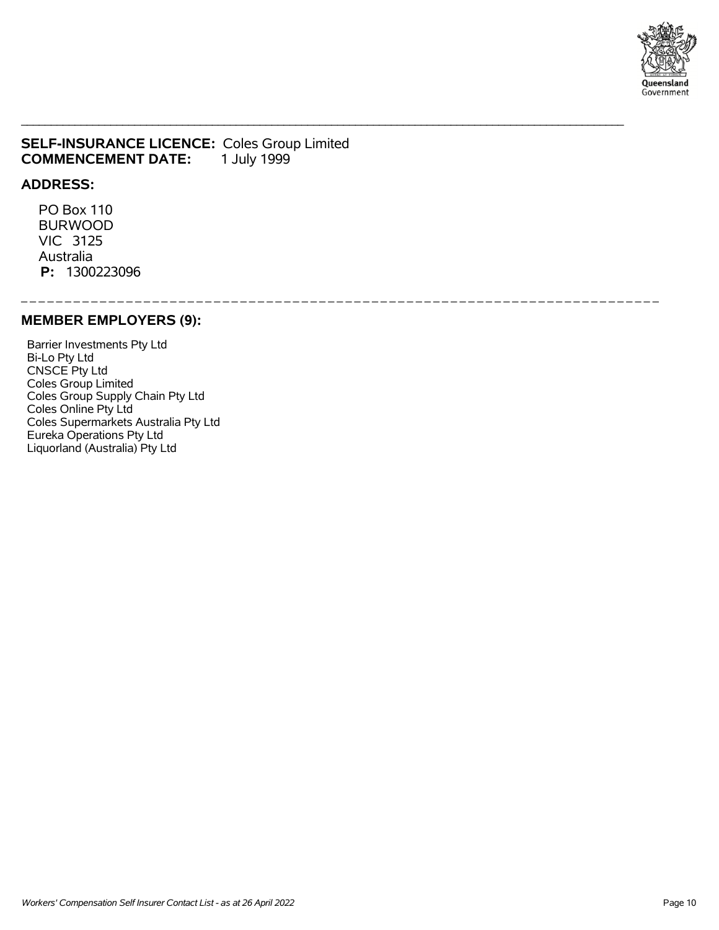

### **SELF-INSURANCE LICENCE: Coles Group Limited COMMENCEMENT DATE:** 1 July 1999 **COMMENCEMENT DATE:**

#### **ADDRESS:**

 PO Box 110 BURWOOD VIC 3125 Australia  **P:** 1300223096

\_ \_ \_ \_ \_ \_ \_ \_ \_ \_ \_ \_ \_ \_ \_ \_ \_ \_ \_ \_ \_ \_ \_ \_ \_ \_ \_ \_ \_ \_ \_ \_ \_ \_ \_ \_ \_ \_ \_ \_ \_ \_ \_ \_ \_ \_ \_ \_ \_ \_ \_ \_ \_ \_ \_ \_ \_ \_ \_ \_ \_ \_ \_ \_ \_ \_ \_ \_ \_ \_ \_ \_ \_

\_\_\_\_\_\_\_\_\_\_\_\_\_\_\_\_\_\_\_\_\_\_\_\_\_\_\_\_\_\_\_\_\_\_\_\_\_\_\_\_\_\_\_\_\_\_\_\_\_\_\_\_\_\_\_\_\_\_\_\_\_\_\_\_\_\_\_\_\_\_\_\_\_\_\_\_\_\_\_\_\_\_\_\_\_\_\_\_\_\_\_\_\_\_\_\_\_\_\_\_\_

### **MEMBER EMPLOYERS (9):**

 Barrier Investments Pty Ltd Bi-Lo Pty Ltd CNSCE Pty Ltd Coles Group Limited Coles Group Supply Chain Pty Ltd Coles Online Pty Ltd Coles Supermarkets Australia Pty Ltd Eureka Operations Pty Ltd Liquorland (Australia) Pty Ltd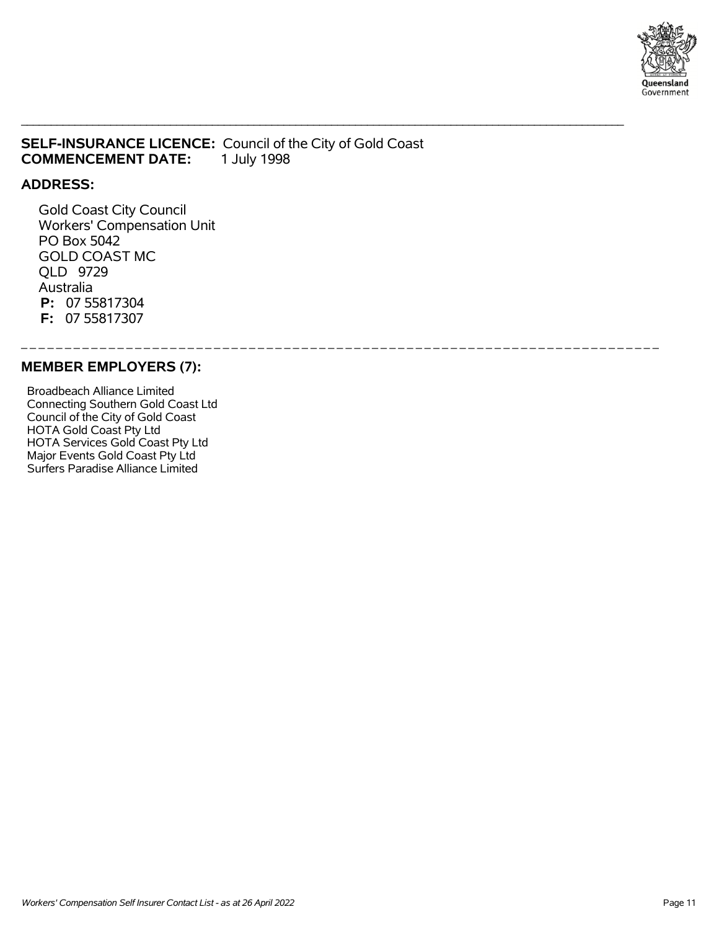

## **SELF-INSURANCE LICENCE:** Council of the City of Gold Coast **COMMENCEMENT DATE:** 1 July 1998

\_\_\_\_\_\_\_\_\_\_\_\_\_\_\_\_\_\_\_\_\_\_\_\_\_\_\_\_\_\_\_\_\_\_\_\_\_\_\_\_\_\_\_\_\_\_\_\_\_\_\_\_\_\_\_\_\_\_\_\_\_\_\_\_\_\_\_\_\_\_\_\_\_\_\_\_\_\_\_\_\_\_\_\_\_\_\_\_\_\_\_\_\_\_\_\_\_\_\_\_\_

\_ \_ \_ \_ \_ \_ \_ \_ \_ \_ \_ \_ \_ \_ \_ \_ \_ \_ \_ \_ \_ \_ \_ \_ \_ \_ \_ \_ \_ \_ \_ \_ \_ \_ \_ \_ \_ \_ \_ \_ \_ \_ \_ \_ \_ \_ \_ \_ \_ \_ \_ \_ \_ \_ \_ \_ \_ \_ \_ \_ \_ \_ \_ \_ \_ \_ \_ \_ \_ \_ \_ \_ \_

### **ADDRESS:**

 Gold Coast City Council Workers' Compensation Unit PO Box 5042 GOLD COAST MC QLD 9729 Australia  **P:** 07 55817304  **F:** 07 55817307

#### **MEMBER EMPLOYERS (7):**

 Broadbeach Alliance Limited Connecting Southern Gold Coast Ltd Council of the City of Gold Coast HOTA Gold Coast Pty Ltd HOTA Services Gold Coast Pty Ltd Major Events Gold Coast Pty Ltd Surfers Paradise Alliance Limited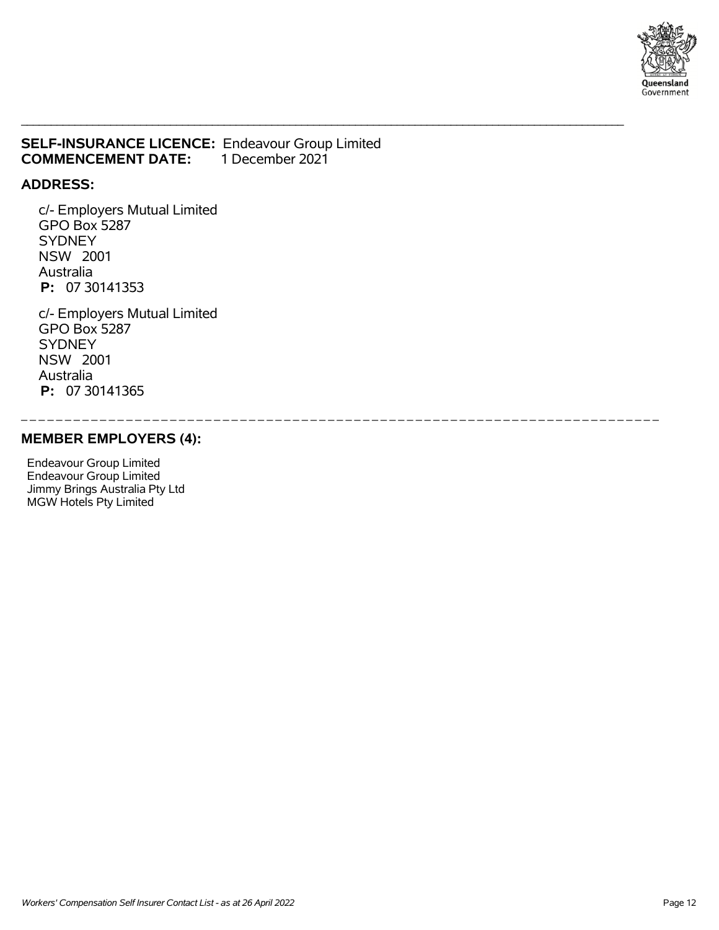

### **SELF-INSURANCE LICENCE: Endeavour Group Limited COMMENCEMENT DATE: 1 December 2021 COMMENCEMENT DATE:**

\_\_\_\_\_\_\_\_\_\_\_\_\_\_\_\_\_\_\_\_\_\_\_\_\_\_\_\_\_\_\_\_\_\_\_\_\_\_\_\_\_\_\_\_\_\_\_\_\_\_\_\_\_\_\_\_\_\_\_\_\_\_\_\_\_\_\_\_\_\_\_\_\_\_\_\_\_\_\_\_\_\_\_\_\_\_\_\_\_\_\_\_\_\_\_\_\_\_\_\_\_

\_ \_ \_ \_ \_ \_ \_ \_ \_ \_ \_ \_ \_ \_ \_ \_ \_ \_ \_ \_ \_ \_ \_ \_ \_ \_ \_ \_ \_ \_ \_ \_ \_ \_ \_ \_ \_ \_ \_ \_ \_ \_ \_ \_ \_ \_ \_ \_ \_ \_ \_ \_ \_ \_ \_ \_ \_ \_ \_ \_ \_ \_ \_ \_ \_ \_ \_ \_ \_ \_ \_ \_ \_

### **ADDRESS:**

 c/- Employers Mutual Limited GPO Box 5287 **SYDNEY**  NSW 2001 Australia  **P:** 07 30141353

 c/- Employers Mutual Limited GPO Box 5287 **SYDNEY**  NSW 2001 Australia  **P:** 07 30141365

### **MEMBER EMPLOYERS (4):**

 Endeavour Group Limited Endeavour Group Limited Jimmy Brings Australia Pty Ltd MGW Hotels Pty Limited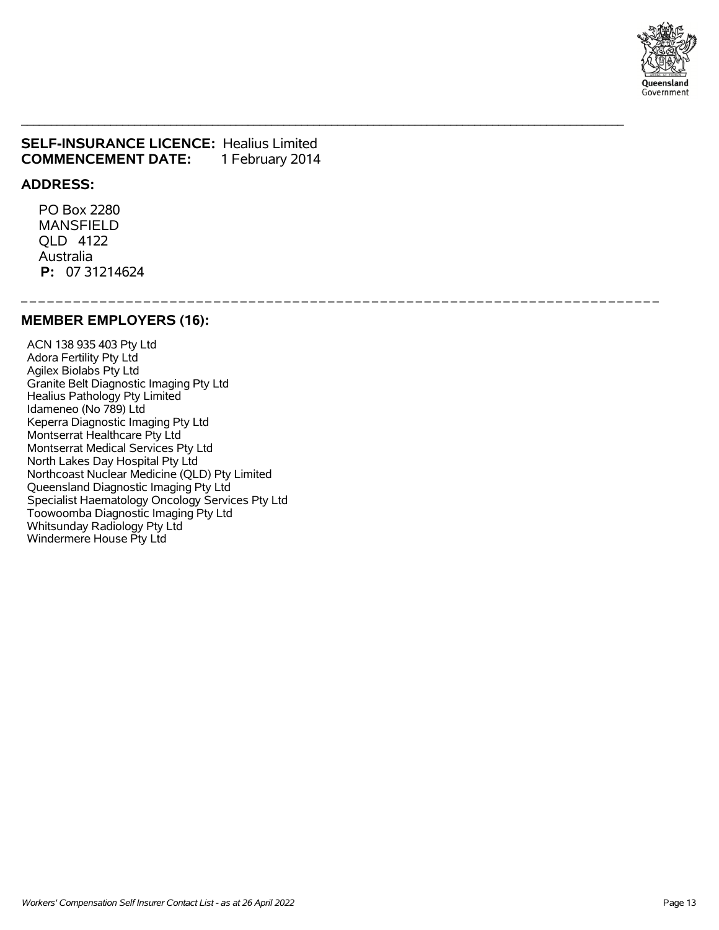

### **SELF-INSURANCE LICENCE:** Healius Limited **COMMENCEMENT DATE:** 1 February 2014

\_\_\_\_\_\_\_\_\_\_\_\_\_\_\_\_\_\_\_\_\_\_\_\_\_\_\_\_\_\_\_\_\_\_\_\_\_\_\_\_\_\_\_\_\_\_\_\_\_\_\_\_\_\_\_\_\_\_\_\_\_\_\_\_\_\_\_\_\_\_\_\_\_\_\_\_\_\_\_\_\_\_\_\_\_\_\_\_\_\_\_\_\_\_\_\_\_\_\_\_\_

\_ \_ \_ \_ \_ \_ \_ \_ \_ \_ \_ \_ \_ \_ \_ \_ \_ \_ \_ \_ \_ \_ \_ \_ \_ \_ \_ \_ \_ \_ \_ \_ \_ \_ \_ \_ \_ \_ \_ \_ \_ \_ \_ \_ \_ \_ \_ \_ \_ \_ \_ \_ \_ \_ \_ \_ \_ \_ \_ \_ \_ \_ \_ \_ \_ \_ \_ \_ \_ \_ \_ \_ \_

#### **ADDRESS:**

 PO Box 2280 MANSFIELD QLD 4122 Australia  **P:** 07 31214624

#### **MEMBER EMPLOYERS (16):**

 ACN 138 935 403 Pty Ltd Adora Fertility Pty Ltd Agilex Biolabs Pty Ltd Granite Belt Diagnostic Imaging Pty Ltd Healius Pathology Pty Limited Idameneo (No 789) Ltd Keperra Diagnostic Imaging Pty Ltd Montserrat Healthcare Pty Ltd Montserrat Medical Services Pty Ltd North Lakes Day Hospital Pty Ltd Northcoast Nuclear Medicine (QLD) Pty Limited Queensland Diagnostic Imaging Pty Ltd Specialist Haematology Oncology Services Pty Ltd Toowoomba Diagnostic Imaging Pty Ltd Whitsunday Radiology Pty Ltd Windermere House Pty Ltd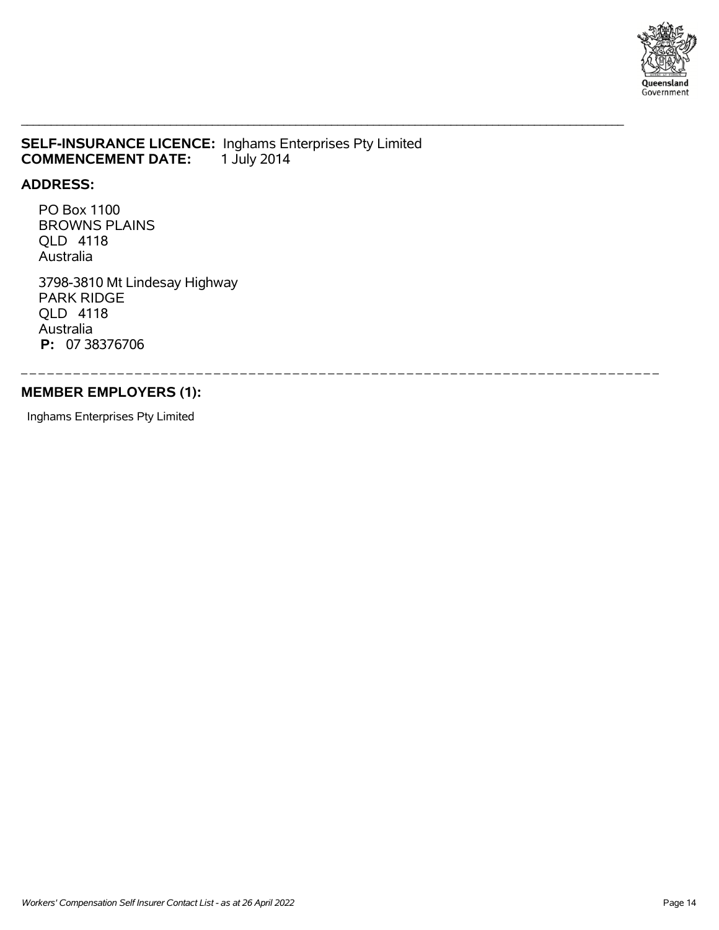

### **SELF-INSURANCE LICENCE:** Inghams Enterprises Pty Limited **COMMENCEMENT DATE:** 1 July 2014 **COMMENCEMENT DATE:**

\_\_\_\_\_\_\_\_\_\_\_\_\_\_\_\_\_\_\_\_\_\_\_\_\_\_\_\_\_\_\_\_\_\_\_\_\_\_\_\_\_\_\_\_\_\_\_\_\_\_\_\_\_\_\_\_\_\_\_\_\_\_\_\_\_\_\_\_\_\_\_\_\_\_\_\_\_\_\_\_\_\_\_\_\_\_\_\_\_\_\_\_\_\_\_\_\_\_\_\_\_

\_ \_ \_ \_ \_ \_ \_ \_ \_ \_ \_ \_ \_ \_ \_ \_ \_ \_ \_ \_ \_ \_ \_ \_ \_ \_ \_ \_ \_ \_ \_ \_ \_ \_ \_ \_ \_ \_ \_ \_ \_ \_ \_ \_ \_ \_ \_ \_ \_ \_ \_ \_ \_ \_ \_ \_ \_ \_ \_ \_ \_ \_ \_ \_ \_ \_ \_ \_ \_ \_ \_ \_ \_

#### **ADDRESS:**

 PO Box 1100 BROWNS PLAINS QLD 4118 Australia

 3798-3810 Mt Lindesay Highway PARK RIDGE QLD 4118 Australia  **P:** 07 38376706

## **MEMBER EMPLOYERS (1):**

Inghams Enterprises Pty Limited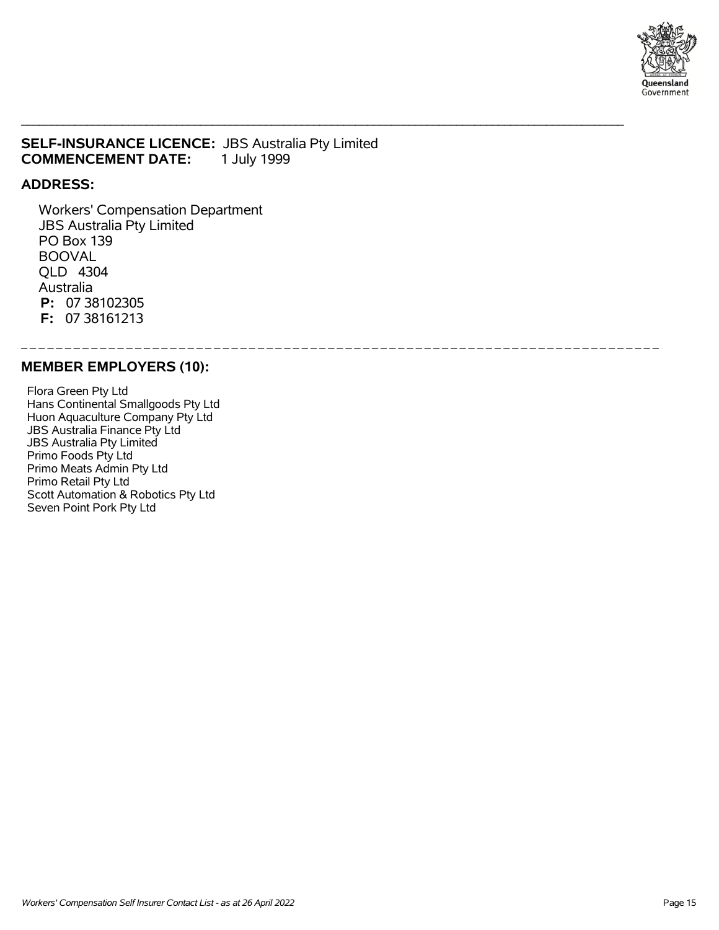

### **SELF-INSURANCE LICENCE:** JBS Australia Pty Limited **COMMENCEMENT DATE:** 1 July 1999

\_\_\_\_\_\_\_\_\_\_\_\_\_\_\_\_\_\_\_\_\_\_\_\_\_\_\_\_\_\_\_\_\_\_\_\_\_\_\_\_\_\_\_\_\_\_\_\_\_\_\_\_\_\_\_\_\_\_\_\_\_\_\_\_\_\_\_\_\_\_\_\_\_\_\_\_\_\_\_\_\_\_\_\_\_\_\_\_\_\_\_\_\_\_\_\_\_\_\_\_\_

\_ \_ \_ \_ \_ \_ \_ \_ \_ \_ \_ \_ \_ \_ \_ \_ \_ \_ \_ \_ \_ \_ \_ \_ \_ \_ \_ \_ \_ \_ \_ \_ \_ \_ \_ \_ \_ \_ \_ \_ \_ \_ \_ \_ \_ \_ \_ \_ \_ \_ \_ \_ \_ \_ \_ \_ \_ \_ \_ \_ \_ \_ \_ \_ \_ \_ \_ \_ \_ \_ \_ \_ \_

### **ADDRESS:**

 Workers' Compensation Department JBS Australia Pty Limited PO Box 139 BOOVAL QLD 4304 Australia  **P:** 07 38102305  **F:** 07 38161213

#### **MEMBER EMPLOYERS (10):**

 Flora Green Pty Ltd Hans Continental Smallgoods Pty Ltd Huon Aquaculture Company Pty Ltd JBS Australia Finance Pty Ltd JBS Australia Pty Limited Primo Foods Pty Ltd Primo Meats Admin Pty Ltd Primo Retail Pty Ltd Scott Automation & Robotics Pty Ltd Seven Point Pork Pty Ltd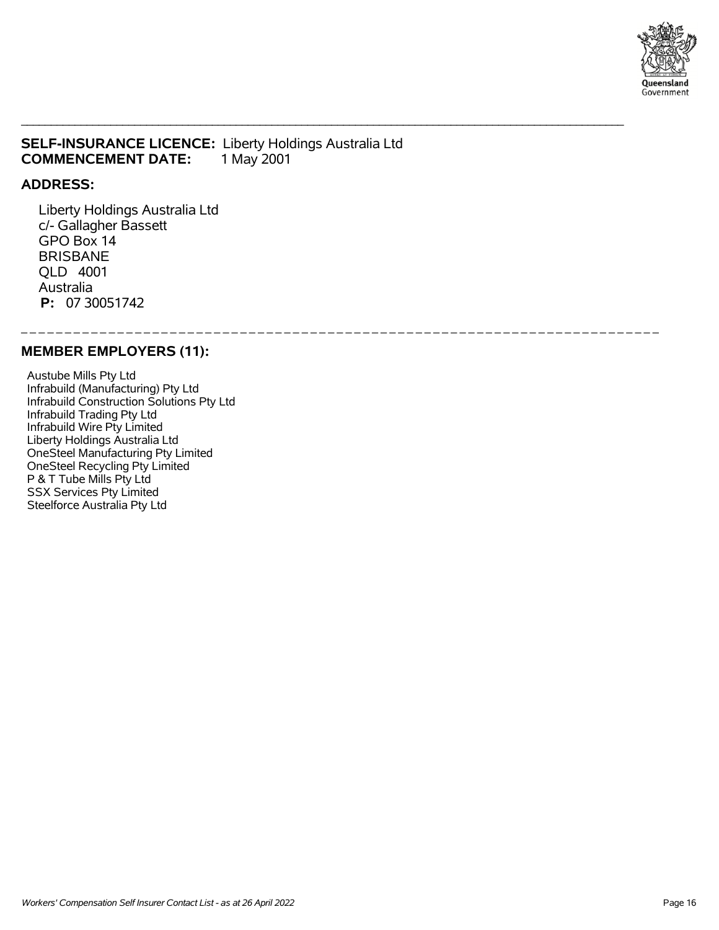

### **SELF-INSURANCE LICENCE:** Liberty Holdings Australia Ltd **COMMENCEMENT DATE:** 1 May 2001

\_\_\_\_\_\_\_\_\_\_\_\_\_\_\_\_\_\_\_\_\_\_\_\_\_\_\_\_\_\_\_\_\_\_\_\_\_\_\_\_\_\_\_\_\_\_\_\_\_\_\_\_\_\_\_\_\_\_\_\_\_\_\_\_\_\_\_\_\_\_\_\_\_\_\_\_\_\_\_\_\_\_\_\_\_\_\_\_\_\_\_\_\_\_\_\_\_\_\_\_\_

\_ \_ \_ \_ \_ \_ \_ \_ \_ \_ \_ \_ \_ \_ \_ \_ \_ \_ \_ \_ \_ \_ \_ \_ \_ \_ \_ \_ \_ \_ \_ \_ \_ \_ \_ \_ \_ \_ \_ \_ \_ \_ \_ \_ \_ \_ \_ \_ \_ \_ \_ \_ \_ \_ \_ \_ \_ \_ \_ \_ \_ \_ \_ \_ \_ \_ \_ \_ \_ \_ \_ \_ \_

#### **ADDRESS:**

 Liberty Holdings Australia Ltd c/- Gallagher Bassett GPO Box 14 BRISBANE QLD 4001 Australia  **P:** 07 30051742

## **MEMBER EMPLOYERS (11):**

 Austube Mills Pty Ltd Infrabuild (Manufacturing) Pty Ltd Infrabuild Construction Solutions Pty Ltd Infrabuild Trading Pty Ltd Infrabuild Wire Pty Limited Liberty Holdings Australia Ltd OneSteel Manufacturing Pty Limited OneSteel Recycling Pty Limited P & T Tube Mills Pty Ltd SSX Services Pty Limited Steelforce Australia Pty Ltd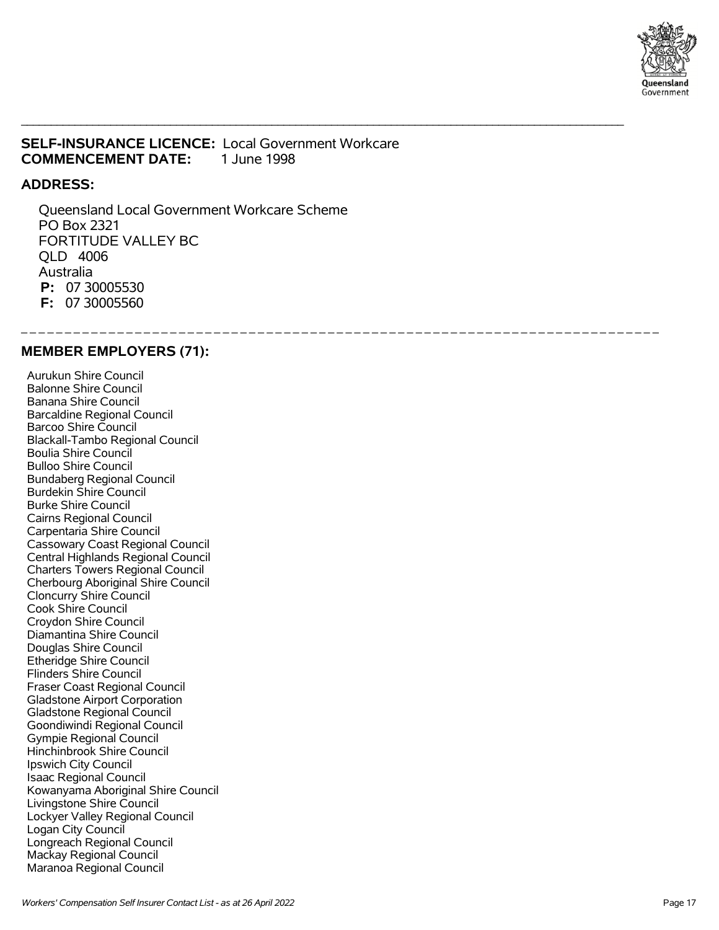

### **SELF-INSURANCE LICENCE:** Local Government Workcare **COMMENCEMENT DATE:** 1 June 1998

\_\_\_\_\_\_\_\_\_\_\_\_\_\_\_\_\_\_\_\_\_\_\_\_\_\_\_\_\_\_\_\_\_\_\_\_\_\_\_\_\_\_\_\_\_\_\_\_\_\_\_\_\_\_\_\_\_\_\_\_\_\_\_\_\_\_\_\_\_\_\_\_\_\_\_\_\_\_\_\_\_\_\_\_\_\_\_\_\_\_\_\_\_\_\_\_\_\_\_\_\_

\_ \_ \_ \_ \_ \_ \_ \_ \_ \_ \_ \_ \_ \_ \_ \_ \_ \_ \_ \_ \_ \_ \_ \_ \_ \_ \_ \_ \_ \_ \_ \_ \_ \_ \_ \_ \_ \_ \_ \_ \_ \_ \_ \_ \_ \_ \_ \_ \_ \_ \_ \_ \_ \_ \_ \_ \_ \_ \_ \_ \_ \_ \_ \_ \_ \_ \_ \_ \_ \_ \_ \_ \_

#### **ADDRESS:**

 Queensland Local Government Workcare Scheme PO Box 2321 FORTITUDE VALLEY BC QLD 4006 Australia  **P:** 07 30005530  **F:** 07 30005560

### **MEMBER EMPLOYERS (71):**

 Aurukun Shire Council Balonne Shire Council Banana Shire Council Barcaldine Regional Council Barcoo Shire Council Blackall-Tambo Regional Council Boulia Shire Council Bulloo Shire Council Bundaberg Regional Council Burdekin Shire Council Burke Shire Council Cairns Regional Council Carpentaria Shire Council Cassowary Coast Regional Council Central Highlands Regional Council Charters Towers Regional Council Cherbourg Aboriginal Shire Council Cloncurry Shire Council Cook Shire Council Croydon Shire Council Diamantina Shire Council Douglas Shire Council Etheridge Shire Council Flinders Shire Council Fraser Coast Regional Council Gladstone Airport Corporation Gladstone Regional Council Goondiwindi Regional Council Gympie Regional Council Hinchinbrook Shire Council Ipswich City Council Isaac Regional Council Kowanyama Aboriginal Shire Council Livingstone Shire Council Lockyer Valley Regional Council Logan City Council Longreach Regional Council Mackay Regional Council Maranoa Regional Council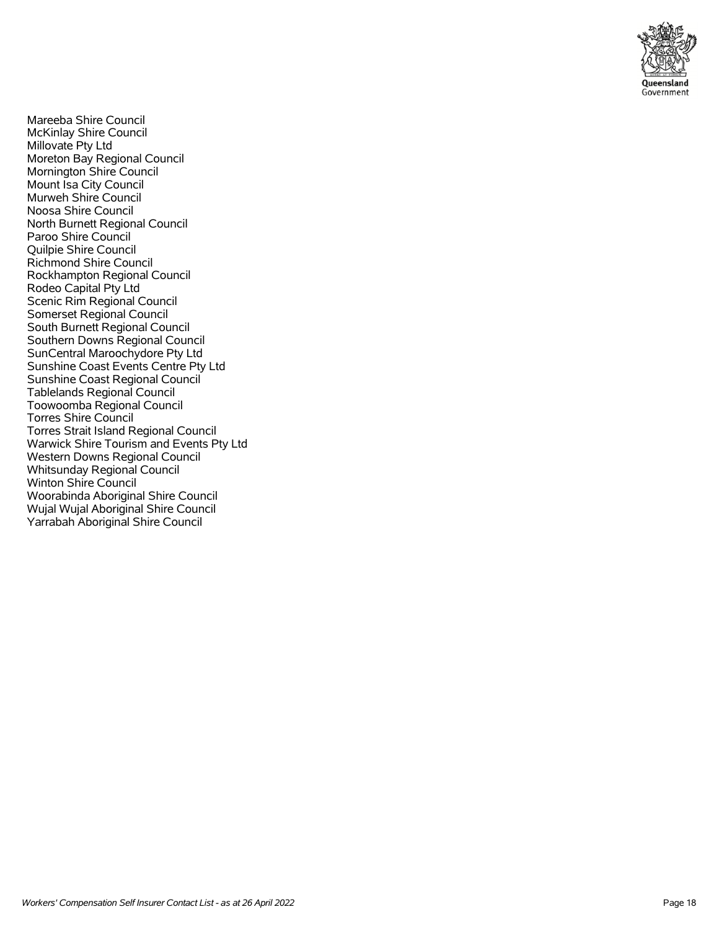

 Mareeba Shire Council McKinlay Shire Council Millovate Pty Ltd Moreton Bay Regional Council Mornington Shire Council Mount Isa City Council Murweh Shire Council Noosa Shire Council North Burnett Regional Council Paroo Shire Council Quilpie Shire Council Richmond Shire Council Rockhampton Regional Council Rodeo Capital Pty Ltd Scenic Rim Regional Council Somerset Regional Council South Burnett Regional Council Southern Downs Regional Council SunCentral Maroochydore Pty Ltd Sunshine Coast Events Centre Pty Ltd Sunshine Coast Regional Council Tablelands Regional Council Toowoomba Regional Council Torres Shire Council Torres Strait Island Regional Council Warwick Shire Tourism and Events Pty Ltd Western Downs Regional Council Whitsunday Regional Council Winton Shire Council Woorabinda Aboriginal Shire Council Wujal Wujal Aboriginal Shire Council Yarrabah Aboriginal Shire Council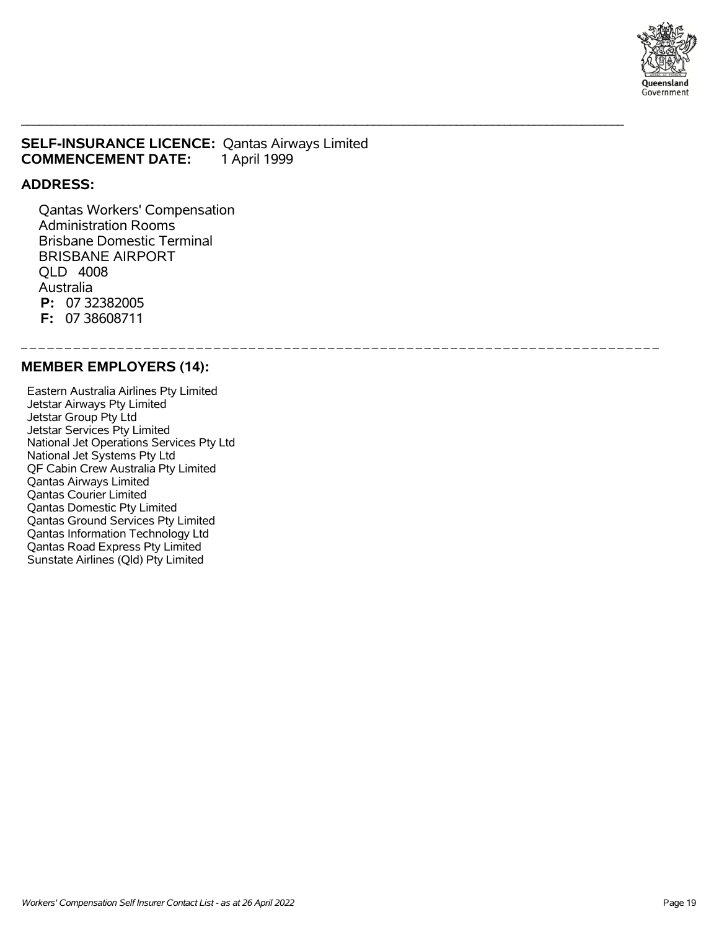

### **SELF-INSURANCE LICENCE:** Qantas Airways Limited **COMMENCEMENT DATE:** 1 April 1999

\_\_\_\_\_\_\_\_\_\_\_\_\_\_\_\_\_\_\_\_\_\_\_\_\_\_\_\_\_\_\_\_\_\_\_\_\_\_\_\_\_\_\_\_\_\_\_\_\_\_\_\_\_\_\_\_\_\_\_\_\_\_\_\_\_\_\_\_\_\_\_\_\_\_\_\_\_\_\_\_\_\_\_\_\_\_\_\_\_\_\_\_\_\_\_\_\_\_\_\_\_

\_ \_ \_ \_ \_ \_ \_ \_ \_ \_ \_ \_ \_ \_ \_ \_ \_ \_ \_ \_ \_ \_ \_ \_ \_ \_ \_ \_ \_ \_ \_ \_ \_ \_ \_ \_ \_ \_ \_ \_ \_ \_ \_ \_ \_ \_ \_ \_ \_ \_ \_ \_ \_ \_ \_ \_ \_ \_ \_ \_ \_ \_ \_ \_ \_ \_ \_ \_ \_ \_ \_ \_ \_

### **ADDRESS:**

 Qantas Workers' Compensation Administration Rooms Brisbane Domestic Terminal BRISBANE AIRPORT QLD 4008 Australia  **P:** 07 32382005  **F:** 07 38608711

#### **MEMBER EMPLOYERS (14):**

 Eastern Australia Airlines Pty Limited Jetstar Airways Pty Limited Jetstar Group Pty Ltd Jetstar Services Pty Limited National Jet Operations Services Pty Ltd National Jet Systems Pty Ltd QF Cabin Crew Australia Pty Limited Qantas Airways Limited Qantas Courier Limited Qantas Domestic Pty Limited Qantas Ground Services Pty Limited Qantas Information Technology Ltd Qantas Road Express Pty Limited Sunstate Airlines (Qld) Pty Limited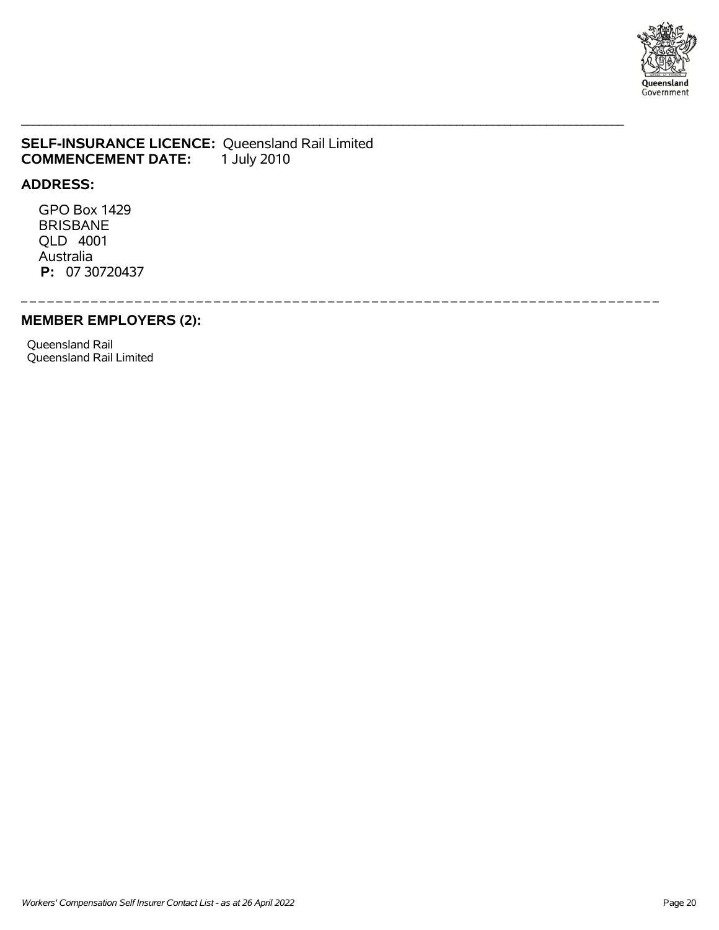

### **SELF-INSURANCE LICENCE:** Queensland Rail Limited **COMMENCEMENT DATE:** 1 July 2010 **COMMENCEMENT DATE:**

#### **ADDRESS:**

 GPO Box 1429 BRISBANE QLD 4001 Australia  **P:** 07 30720437

\_ \_ \_ \_ \_ \_ \_ \_ \_ \_ \_ \_ \_ \_ \_ \_ \_ \_ \_ \_ \_ \_ \_ \_ \_ \_ \_ \_ \_ \_ \_ \_ \_ \_ \_ \_ \_ \_ \_ \_ \_ \_ \_ \_ \_ \_ \_ \_ \_ \_ \_ \_ \_ \_ \_ \_ \_ \_ \_ \_ \_ \_ \_ \_ \_ \_ \_ \_ \_ \_ \_ \_ \_

\_\_\_\_\_\_\_\_\_\_\_\_\_\_\_\_\_\_\_\_\_\_\_\_\_\_\_\_\_\_\_\_\_\_\_\_\_\_\_\_\_\_\_\_\_\_\_\_\_\_\_\_\_\_\_\_\_\_\_\_\_\_\_\_\_\_\_\_\_\_\_\_\_\_\_\_\_\_\_\_\_\_\_\_\_\_\_\_\_\_\_\_\_\_\_\_\_\_\_\_\_

### **MEMBER EMPLOYERS (2):**

 Queensland Rail Queensland Rail Limited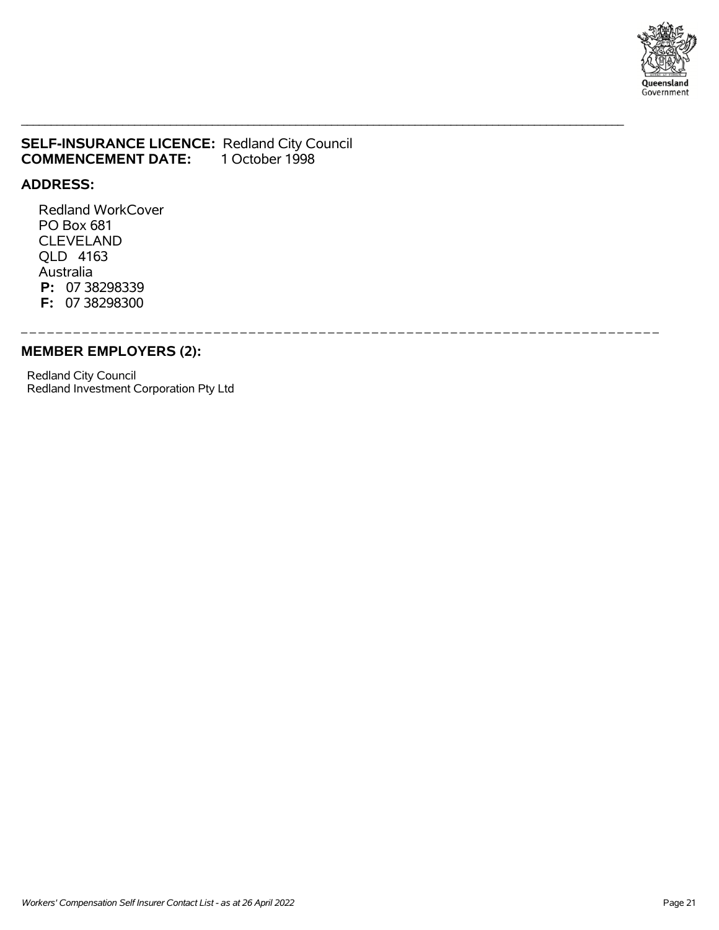

## **SELF-INSURANCE LICENCE: Redland City Council COMMENCEMENT DATE: 1 October 1998 COMMENCEMENT DATE:**

\_\_\_\_\_\_\_\_\_\_\_\_\_\_\_\_\_\_\_\_\_\_\_\_\_\_\_\_\_\_\_\_\_\_\_\_\_\_\_\_\_\_\_\_\_\_\_\_\_\_\_\_\_\_\_\_\_\_\_\_\_\_\_\_\_\_\_\_\_\_\_\_\_\_\_\_\_\_\_\_\_\_\_\_\_\_\_\_\_\_\_\_\_\_\_\_\_\_\_\_\_

\_ \_ \_ \_ \_ \_ \_ \_ \_ \_ \_ \_ \_ \_ \_ \_ \_ \_ \_ \_ \_ \_ \_ \_ \_ \_ \_ \_ \_ \_ \_ \_ \_ \_ \_ \_ \_ \_ \_ \_ \_ \_ \_ \_ \_ \_ \_ \_ \_ \_ \_ \_ \_ \_ \_ \_ \_ \_ \_ \_ \_ \_ \_ \_ \_ \_ \_ \_ \_ \_ \_ \_ \_

#### **ADDRESS:**

 Redland WorkCover PO Box 681 CLEVELAND QLD 4163 Australia  **P:** 07 38298339  **F:** 07 38298300

### **MEMBER EMPLOYERS (2):**

 Redland City Council Redland Investment Corporation Pty Ltd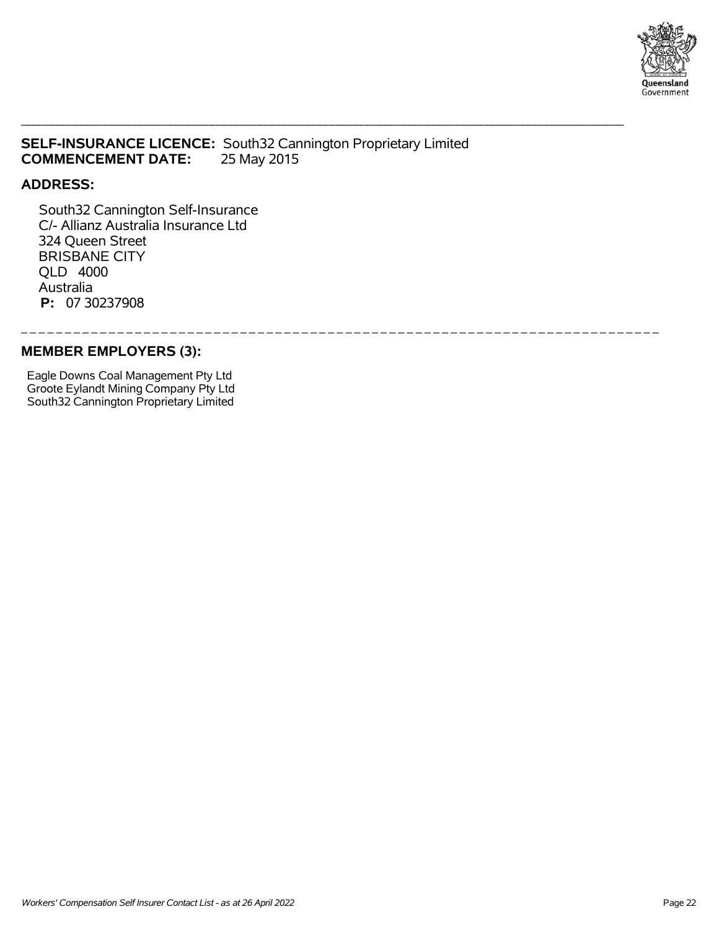

## **SELF-INSURANCE LICENCE:** South32 Cannington Proprietary Limited **COMMENCEMENT DATE:**

\_ \_ \_ \_ \_ \_ \_ \_ \_ \_ \_ \_ \_ \_ \_ \_ \_ \_ \_ \_ \_ \_ \_ \_ \_ \_ \_ \_ \_ \_ \_ \_ \_ \_ \_ \_ \_ \_ \_ \_ \_ \_ \_ \_ \_ \_ \_ \_ \_ \_ \_ \_ \_ \_ \_ \_ \_ \_ \_ \_ \_ \_ \_ \_ \_ \_ \_ \_ \_ \_ \_ \_ \_

\_\_\_\_\_\_\_\_\_\_\_\_\_\_\_\_\_\_\_\_\_\_\_\_\_\_\_\_\_\_\_\_\_\_\_\_\_\_\_\_\_\_\_\_\_\_\_\_\_\_\_\_\_\_\_\_\_\_\_\_\_\_\_\_\_\_\_\_\_\_\_\_\_\_\_\_\_\_\_\_\_\_\_\_\_\_\_\_\_\_\_\_\_\_\_\_\_\_\_\_\_

### **ADDRESS:**

 South32 Cannington Self-Insurance C/- Allianz Australia Insurance Ltd 324 Queen Street BRISBANE CITY QLD 4000 Australia  **P:** 07 30237908

## **MEMBER EMPLOYERS (3):**

 Eagle Downs Coal Management Pty Ltd Groote Eylandt Mining Company Pty Ltd South32 Cannington Proprietary Limited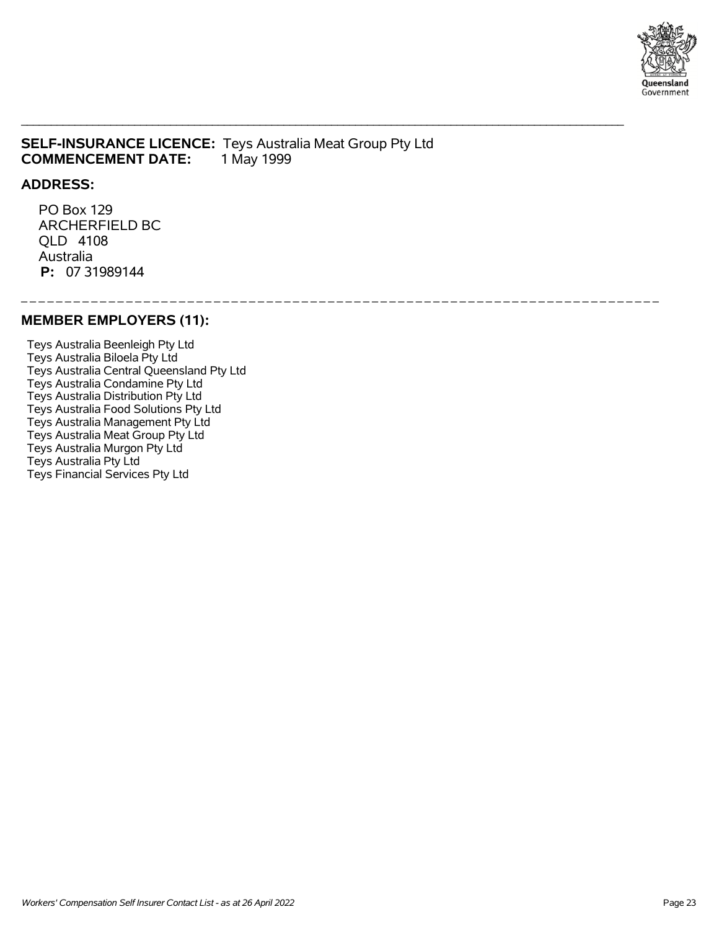

### **SELF-INSURANCE LICENCE:** Teys Australia Meat Group Pty Ltd **COMMENCEMENT DATE:** 1 May 1999

#### **ADDRESS:**

 PO Box 129 ARCHERFIELD BC QLD 4108 Australia  **P:** 07 31989144

#### \_\_\_\_\_\_\_\_\_\_\_\_\_\_\_\_\_\_\_

\_\_\_\_\_\_\_\_\_\_\_\_\_\_\_\_\_\_\_\_\_\_\_\_\_\_\_\_\_\_\_\_\_\_\_\_\_\_\_\_\_\_\_\_\_\_\_\_\_\_\_\_\_\_\_\_\_\_\_\_\_\_\_\_\_\_\_\_\_\_\_\_\_\_\_\_\_\_\_\_\_\_\_\_\_\_\_\_\_\_\_\_\_\_\_\_\_\_\_\_\_

### **MEMBER EMPLOYERS (11):**

 Teys Australia Beenleigh Pty Ltd Teys Australia Biloela Pty Ltd Teys Australia Central Queensland Pty Ltd Teys Australia Condamine Pty Ltd Teys Australia Distribution Pty Ltd Teys Australia Food Solutions Pty Ltd Teys Australia Management Pty Ltd Teys Australia Meat Group Pty Ltd Teys Australia Murgon Pty Ltd Teys Australia Pty Ltd Teys Financial Services Pty Ltd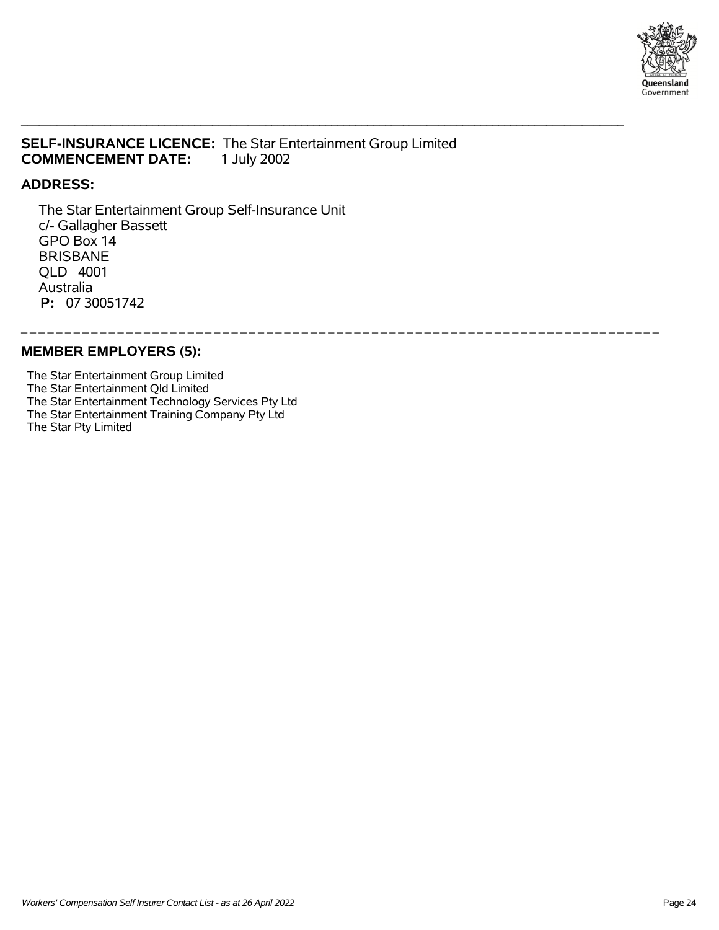

## **SELF-INSURANCE LICENCE:** The Star Entertainment Group Limited **COMMENCEMENT DATE:** 1 July 2002

\_\_\_\_\_\_\_\_\_\_\_\_\_\_\_\_\_\_\_\_\_\_\_\_\_\_\_\_\_\_\_\_\_\_\_\_\_\_\_\_\_\_\_\_\_\_\_\_\_\_\_\_\_\_\_\_\_\_\_\_\_\_\_\_\_\_\_\_\_\_\_\_\_\_\_\_\_\_\_\_\_\_\_\_\_\_\_\_\_\_\_\_\_\_\_\_\_\_\_\_\_

\_ \_ \_ \_ \_ \_ \_ \_ \_ \_ \_ \_ \_ \_ \_ \_ \_ \_ \_ \_ \_ \_ \_ \_ \_ \_ \_ \_ \_ \_ \_ \_ \_ \_ \_ \_ \_ \_ \_ \_ \_ \_ \_ \_ \_ \_ \_ \_ \_ \_ \_ \_ \_ \_ \_ \_ \_ \_ \_ \_ \_ \_ \_ \_ \_ \_ \_ \_ \_ \_ \_ \_ \_

### **ADDRESS:**

 The Star Entertainment Group Self-Insurance Unit c/- Gallagher Bassett GPO Box 14 BRISBANE QLD 4001 Australia  **P:** 07 30051742

**MEMBER EMPLOYERS (5):**

 The Star Entertainment Group Limited The Star Entertainment Qld Limited The Star Entertainment Technology Services Pty Ltd The Star Entertainment Training Company Pty Ltd The Star Pty Limited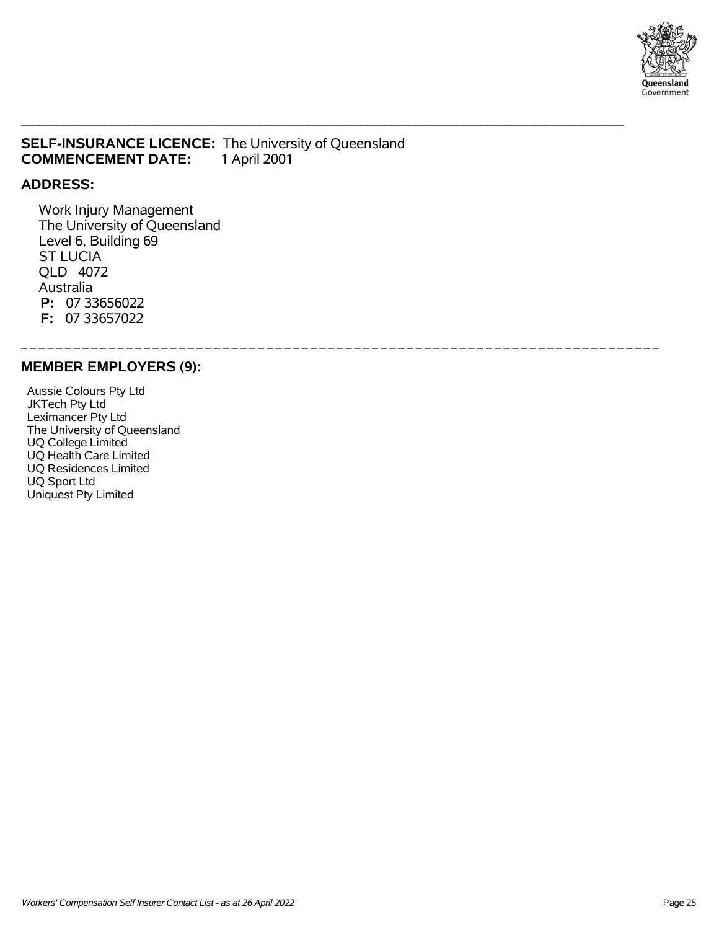

### **SELF-INSURANCE LICENCE:** The University of Queensland **COMMENCEMENT DATE:** 1 April 2001 **COMMENCEMENT DATE:**

\_\_\_\_\_\_\_\_\_\_\_\_\_\_\_\_\_\_\_\_\_\_\_\_\_\_\_\_\_\_\_\_\_\_\_\_\_\_\_\_\_\_\_\_\_\_\_\_\_\_\_\_\_\_\_\_\_\_\_\_\_\_\_\_\_\_\_\_\_\_\_\_\_\_\_\_\_\_\_\_\_\_\_\_\_\_\_\_\_\_\_\_\_\_\_\_\_\_\_\_\_

\_ \_ \_ \_ \_ \_ \_ \_ \_ \_ \_ \_ \_ \_ \_ \_ \_ \_ \_ \_ \_ \_ \_ \_ \_ \_ \_ \_ \_ \_ \_ \_ \_ \_ \_ \_ \_ \_ \_ \_ \_ \_ \_ \_ \_ \_ \_ \_ \_ \_ \_ \_ \_ \_ \_ \_ \_ \_ \_ \_ \_ \_ \_ \_ \_ \_ \_ \_ \_ \_ \_ \_ \_

### **ADDRESS:**

 Work Injury Management The University of Queensland Level 6, Building 69 ST LUCIA QLD 4072 Australia  **P:** 07 33656022  **F:** 07 33657022

#### **MEMBER EMPLOYERS (9):**

 Aussie Colours Pty Ltd JKTech Pty Ltd Leximancer Pty Ltd The University of Queensland UQ College Limited UQ Health Care Limited UQ Residences Limited UQ Sport Ltd Uniquest Pty Limited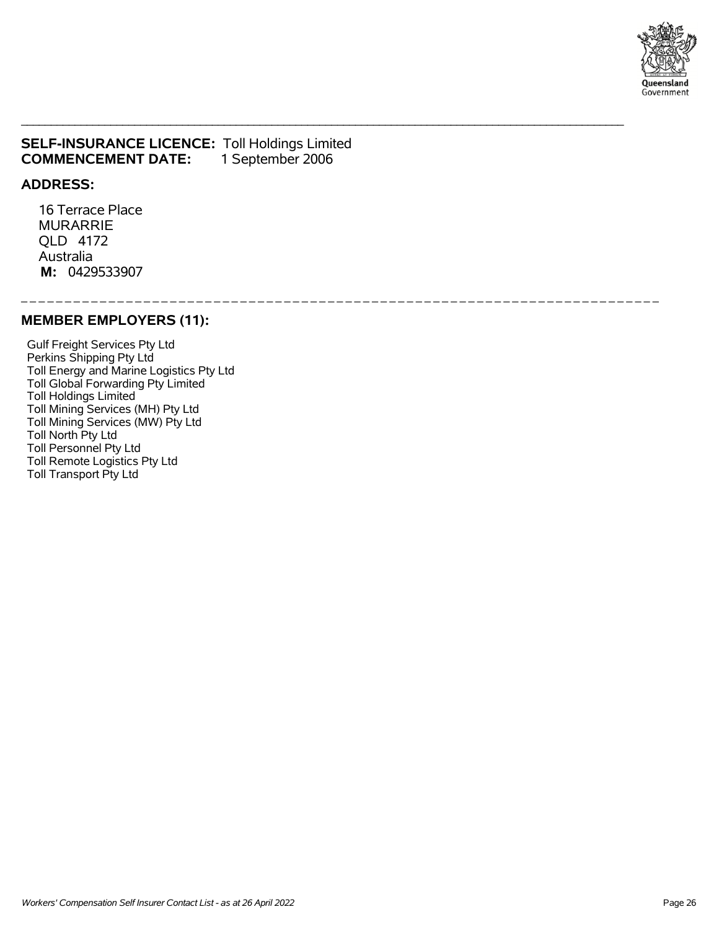

### **SELF-INSURANCE LICENCE:** Toll Holdings Limited<br>**COMMENCEMENT DATE:** 1 September 2006 **COMMENCEMENT DATE:**

#### **ADDRESS:**

 16 Terrace Place MURARRIE QLD 4172 Australia  **M:** 0429533907

\_ \_ \_ \_ \_ \_ \_ \_ \_ \_ \_ \_ \_ \_ \_ \_ \_ \_ \_ \_ \_ \_ \_ \_ \_ \_ \_ \_ \_ \_ \_ \_ \_ \_ \_ \_ \_ \_ \_ \_ \_ \_ \_ \_ \_ \_ \_ \_ \_ \_ \_ \_ \_ \_ \_ \_ \_ \_ \_ \_ \_ \_ \_ \_ \_ \_ \_ \_ \_ \_ \_ \_ \_

\_\_\_\_\_\_\_\_\_\_\_\_\_\_\_\_\_\_\_\_\_\_\_\_\_\_\_\_\_\_\_\_\_\_\_\_\_\_\_\_\_\_\_\_\_\_\_\_\_\_\_\_\_\_\_\_\_\_\_\_\_\_\_\_\_\_\_\_\_\_\_\_\_\_\_\_\_\_\_\_\_\_\_\_\_\_\_\_\_\_\_\_\_\_\_\_\_\_\_\_\_

### **MEMBER EMPLOYERS (11):**

 Gulf Freight Services Pty Ltd Perkins Shipping Pty Ltd Toll Energy and Marine Logistics Pty Ltd Toll Global Forwarding Pty Limited Toll Holdings Limited Toll Mining Services (MH) Pty Ltd Toll Mining Services (MW) Pty Ltd Toll North Pty Ltd Toll Personnel Pty Ltd Toll Remote Logistics Pty Ltd Toll Transport Pty Ltd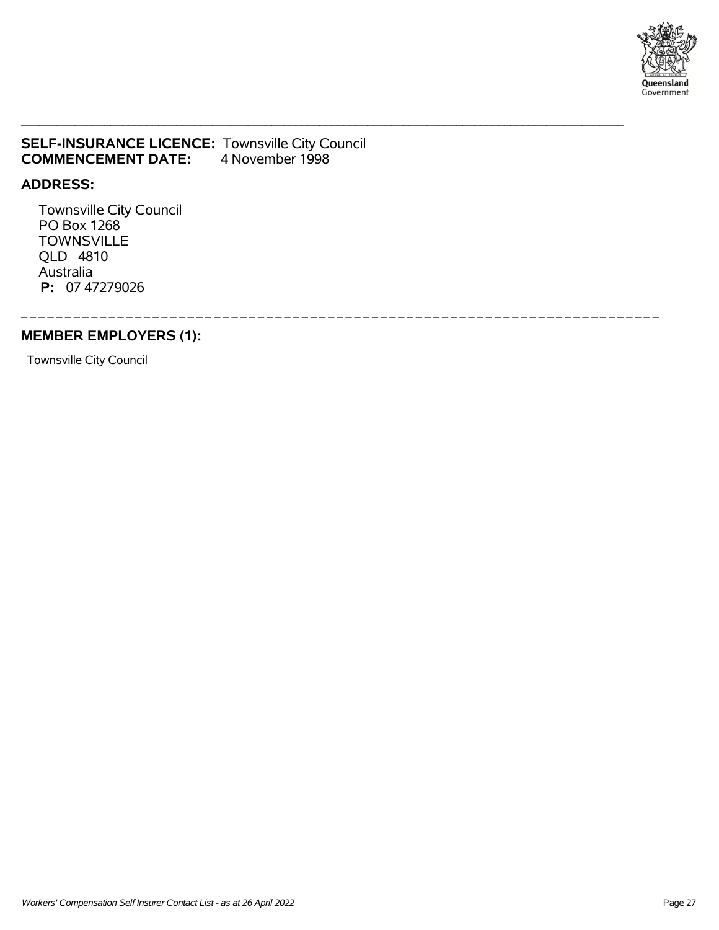

### **SELF-INSURANCE LICENCE:** Townsville City Council **COMMENCEMENT DATE:** 4 November 1998

### **ADDRESS:**

 Townsville City Council PO Box 1268 **TOWNSVILLE**  QLD 4810 Australia  **P:** 07 47279026

\_ \_ \_ \_ \_ \_ \_ \_ \_ \_ \_ \_ \_ \_ \_ \_ \_ \_ \_ \_ \_ \_ \_ \_ \_ \_ \_ \_ \_ \_ \_ \_ \_ \_ \_ \_ \_ \_ \_ \_ \_ \_ \_ \_ \_ \_ \_ \_ \_ \_ \_ \_ \_ \_ \_ \_ \_ \_ \_ \_ \_ \_ \_ \_ \_ \_ \_ \_ \_ \_ \_ \_ \_

\_\_\_\_\_\_\_\_\_\_\_\_\_\_\_\_\_\_\_\_\_\_\_\_\_\_\_\_\_\_\_\_\_\_\_\_\_\_\_\_\_\_\_\_\_\_\_\_\_\_\_\_\_\_\_\_\_\_\_\_\_\_\_\_\_\_\_\_\_\_\_\_\_\_\_\_\_\_\_\_\_\_\_\_\_\_\_\_\_\_\_\_\_\_\_\_\_\_\_\_\_

## **MEMBER EMPLOYERS (1):**

Townsville City Council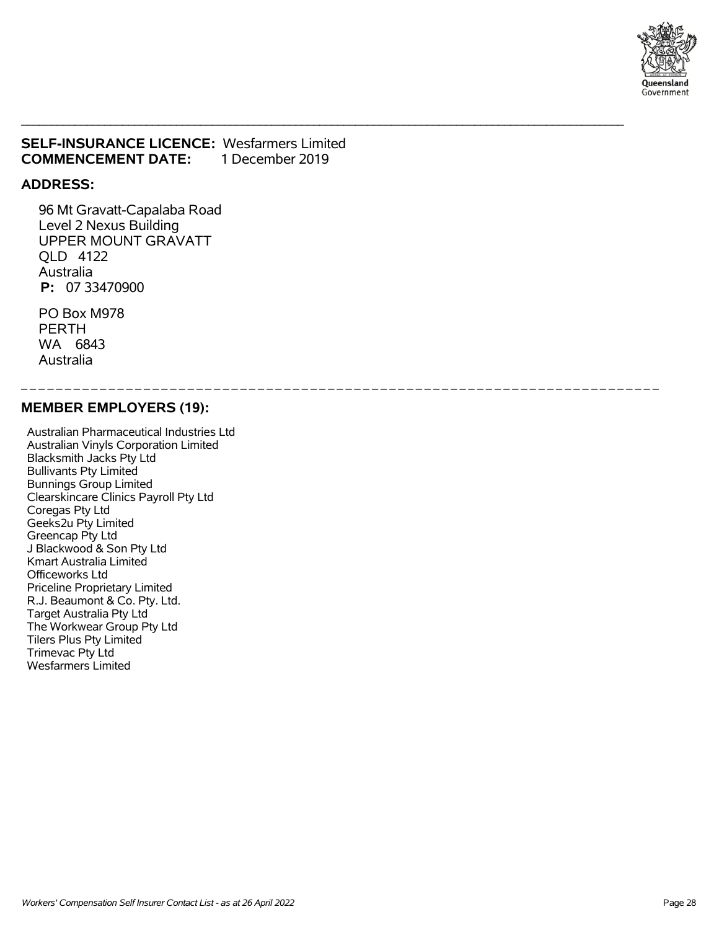

### **SELF-INSURANCE LICENCE:** Wesfarmers Limited **COMMENCEMENT DATE:** 1 December 2019

\_\_\_\_\_\_\_\_\_\_\_\_\_\_\_\_\_\_\_\_\_\_\_\_\_\_\_\_\_\_\_\_\_\_\_\_\_\_\_\_\_\_\_\_\_\_\_\_\_\_\_\_\_\_\_\_\_\_\_\_\_\_\_\_\_\_\_\_\_\_\_\_\_\_\_\_\_\_\_\_\_\_\_\_\_\_\_\_\_\_\_\_\_\_\_\_\_\_\_\_\_

\_ \_ \_ \_ \_ \_ \_ \_ \_ \_ \_ \_ \_ \_ \_ \_ \_ \_ \_ \_ \_ \_ \_ \_ \_ \_ \_ \_ \_ \_ \_ \_ \_ \_ \_ \_ \_ \_ \_ \_ \_ \_ \_ \_ \_ \_ \_ \_ \_ \_ \_ \_ \_ \_ \_ \_ \_ \_ \_ \_ \_ \_ \_ \_ \_ \_ \_ \_ \_ \_ \_ \_ \_

#### **ADDRESS:**

 96 Mt Gravatt-Capalaba Road Level 2 Nexus Building UPPER MOUNT GRAVATT QLD 4122 Australia  **P:** 07 33470900

 PO Box M978 PERTH WA 6843 Australia

#### **MEMBER EMPLOYERS (19):**

 Australian Pharmaceutical Industries Ltd Australian Vinyls Corporation Limited Blacksmith Jacks Pty Ltd Bullivants Pty Limited Bunnings Group Limited Clearskincare Clinics Payroll Pty Ltd Coregas Pty Ltd Geeks2u Pty Limited Greencap Pty Ltd J Blackwood & Son Pty Ltd Kmart Australia Limited Officeworks Ltd Priceline Proprietary Limited R.J. Beaumont & Co. Pty. Ltd. Target Australia Pty Ltd The Workwear Group Pty Ltd Tilers Plus Pty Limited Trimevac Pty Ltd Wesfarmers Limited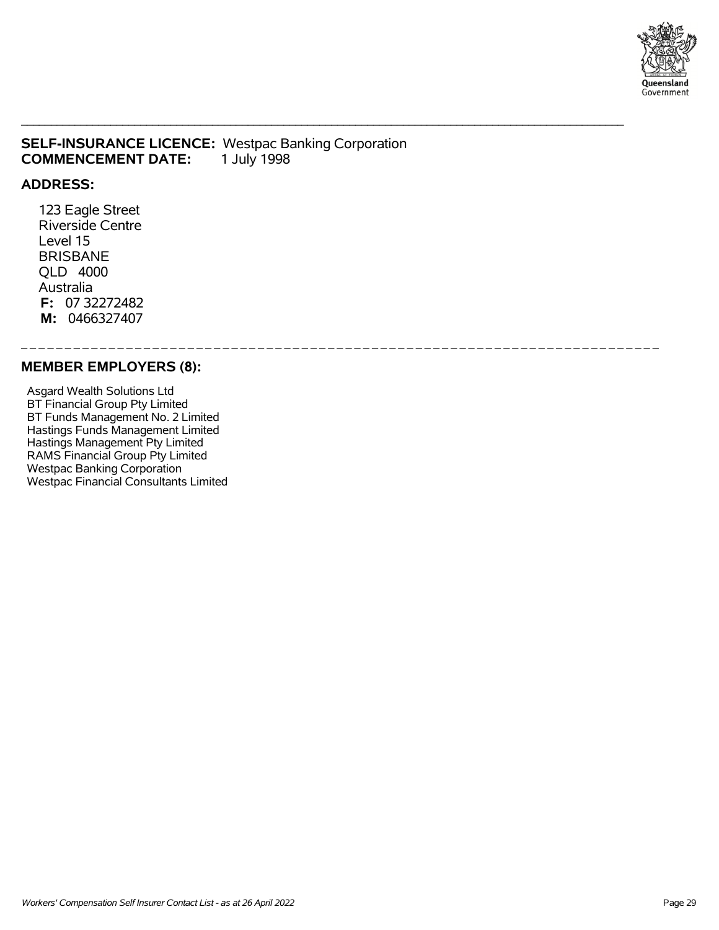

### **SELF-INSURANCE LICENCE:** Westpac Banking Corporation **COMMENCEMENT DATE:** 1 July 1998

\_\_\_\_\_\_\_\_\_\_\_\_\_\_\_\_\_\_\_\_\_\_\_\_\_\_\_\_\_\_\_\_\_\_\_\_\_\_\_\_\_\_\_\_\_\_\_\_\_\_\_\_\_\_\_\_\_\_\_\_\_\_\_\_\_\_\_\_\_\_\_\_\_\_\_\_\_\_\_\_\_\_\_\_\_\_\_\_\_\_\_\_\_\_\_\_\_\_\_\_\_

\_ \_ \_ \_ \_ \_ \_ \_ \_ \_ \_ \_ \_ \_ \_ \_ \_ \_ \_ \_ \_ \_ \_ \_ \_ \_ \_ \_ \_ \_ \_ \_ \_ \_ \_ \_ \_ \_ \_ \_ \_ \_ \_ \_ \_ \_ \_ \_ \_ \_ \_ \_ \_ \_ \_ \_ \_ \_ \_ \_ \_ \_ \_ \_ \_ \_ \_ \_ \_ \_ \_ \_ \_

### **ADDRESS:**

 123 Eagle Street Riverside Centre Level 15 BRISBANE QLD 4000 Australia  **F:** 07 32272482  **M:** 0466327407

#### **MEMBER EMPLOYERS (8):**

 Asgard Wealth Solutions Ltd BT Financial Group Pty Limited BT Funds Management No. 2 Limited Hastings Funds Management Limited Hastings Management Pty Limited RAMS Financial Group Pty Limited Westpac Banking Corporation Westpac Financial Consultants Limited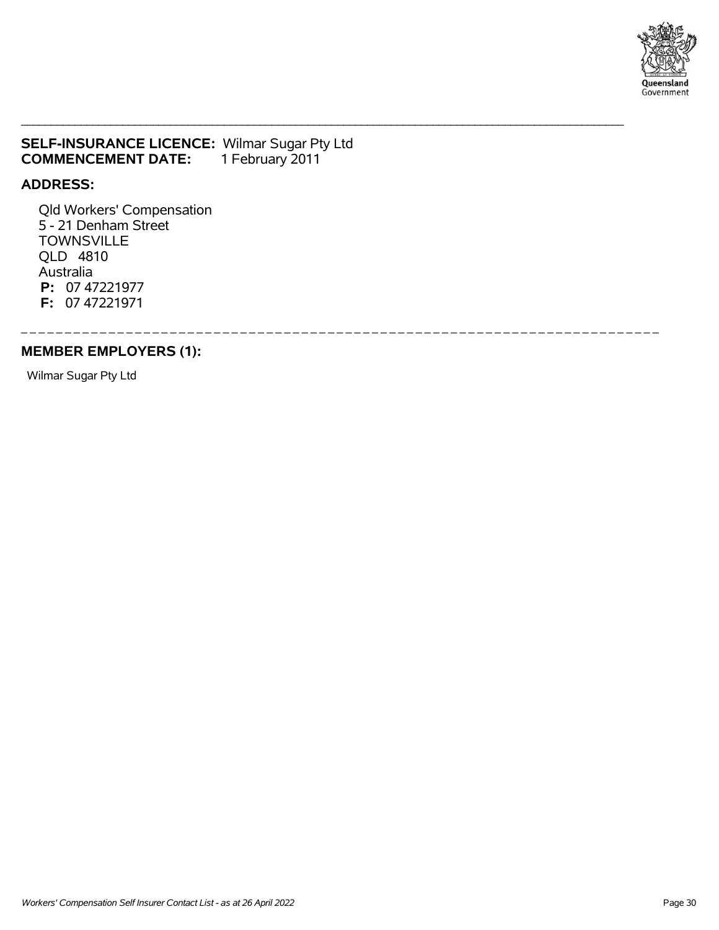

## **SELF-INSURANCE LICENCE: Wilmar Sugar Pty Ltd COMMENCEMENT DATE:** 1 February 2011 **COMMENCEMENT DATE:**

\_\_\_\_\_\_\_\_\_\_\_\_\_\_\_\_\_\_\_\_\_\_\_\_\_\_\_\_\_\_\_\_\_\_\_\_\_\_\_\_\_\_\_\_\_\_\_\_\_\_\_\_\_\_\_\_\_\_\_\_\_\_\_\_\_\_\_\_\_\_\_\_\_\_\_\_\_\_\_\_\_\_\_\_\_\_\_\_\_\_\_\_\_\_\_\_\_\_\_\_\_

\_ \_ \_ \_ \_ \_ \_ \_ \_ \_ \_ \_ \_ \_ \_ \_ \_ \_ \_ \_ \_ \_ \_ \_ \_ \_ \_ \_ \_ \_ \_ \_ \_ \_ \_ \_ \_ \_ \_ \_ \_ \_ \_ \_ \_ \_ \_ \_ \_ \_ \_ \_ \_ \_ \_ \_ \_ \_ \_ \_ \_ \_ \_ \_ \_ \_ \_ \_ \_ \_ \_ \_ \_

### **ADDRESS:**

 Qld Workers' Compensation 5 - 21 Denham Street **TOWNSVILLE**  QLD 4810 Australia  **P:** 07 47221977  **F:** 07 47221971

## **MEMBER EMPLOYERS (1):**

Wilmar Sugar Pty Ltd